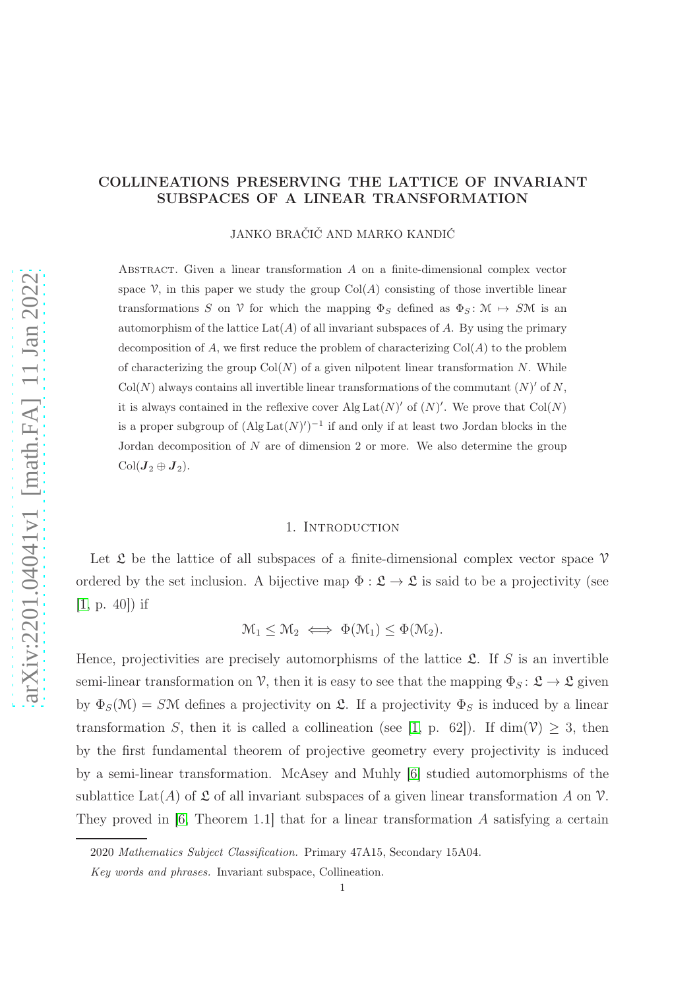## COLLINEATIONS PRESERVING THE LATTICE OF INVARIANT SUBSPACES OF A LINEAR TRANSFORMATION

JANKO BRAČIČ AND MARKO KANDIĆ

ABSTRACT. Given a linear transformation  $A$  on a finite-dimensional complex vector space  $\mathcal V$ , in this paper we study the group  $Col(A)$  consisting of those invertible linear transformations S on V for which the mapping  $\Phi_S$  defined as  $\Phi_S \colon \mathcal{M} \to S\mathcal{M}$  is an automorphism of the lattice  $\text{Lat}(A)$  of all invariant subspaces of A. By using the primary decomposition of A, we first reduce the problem of characterizing  $Col(A)$  to the problem of characterizing the group  $Col(N)$  of a given nilpotent linear transformation N. While  $Col(N)$  always contains all invertible linear transformations of the commutant  $(N)'$  of N, it is always contained in the reflexive cover Alg  $\text{Lat}(N)'$  of  $(N)'$ . We prove that  $\text{Col}(N)$ is a proper subgroup of  $(Alg Lat(N)')^{-1}$  if and only if at least two Jordan blocks in the Jordan decomposition of  $N$  are of dimension 2 or more. We also determine the group  $Col(**J**<sub>2</sub> \oplus **J**<sub>2</sub>).$ 

## 1. INTRODUCTION

Let  $\mathfrak L$  be the lattice of all subspaces of a finite-dimensional complex vector space  $\mathcal V$ ordered by the set inclusion. A bijective map  $\Phi : \mathfrak{L} \to \mathfrak{L}$  is said to be a projectivity (see  $[1, p. 40]$  $[1, p. 40]$  if

$$
\mathcal{M}_1 \leq \mathcal{M}_2 \iff \Phi(\mathcal{M}_1) \leq \Phi(\mathcal{M}_2).
$$

Hence, projectivities are precisely automorphisms of the lattice  $\mathfrak{L}$ . If S is an invertible semi-linear transformation on V, then it is easy to see that the mapping  $\Phi_S: \mathfrak{L} \to \mathfrak{L}$  given by  $\Phi_S(\mathcal{M}) = S\mathcal{M}$  defines a projectivity on  $\mathfrak{L}$ . If a projectivity  $\Phi_S$  is induced by a linear transformation S, then it is called a collineation (see [\[1,](#page-24-0) p. 62]). If  $\dim(\mathcal{V}) \geq 3$ , then by the first fundamental theorem of projective geometry every projectivity is induced by a semi-linear transformation. McAsey and Muhly [\[6\]](#page-24-1) studied automorphisms of the sublattice Lat(A) of  $\mathfrak L$  of all invariant subspaces of a given linear transformation A on  $\mathcal V$ . They proved in [\[6,](#page-24-1) Theorem 1.1] that for a linear transformation A satisfying a certain

<sup>2020</sup> Mathematics Subject Classification. Primary 47A15, Secondary 15A04.

Key words and phrases. Invariant subspace, Collineation.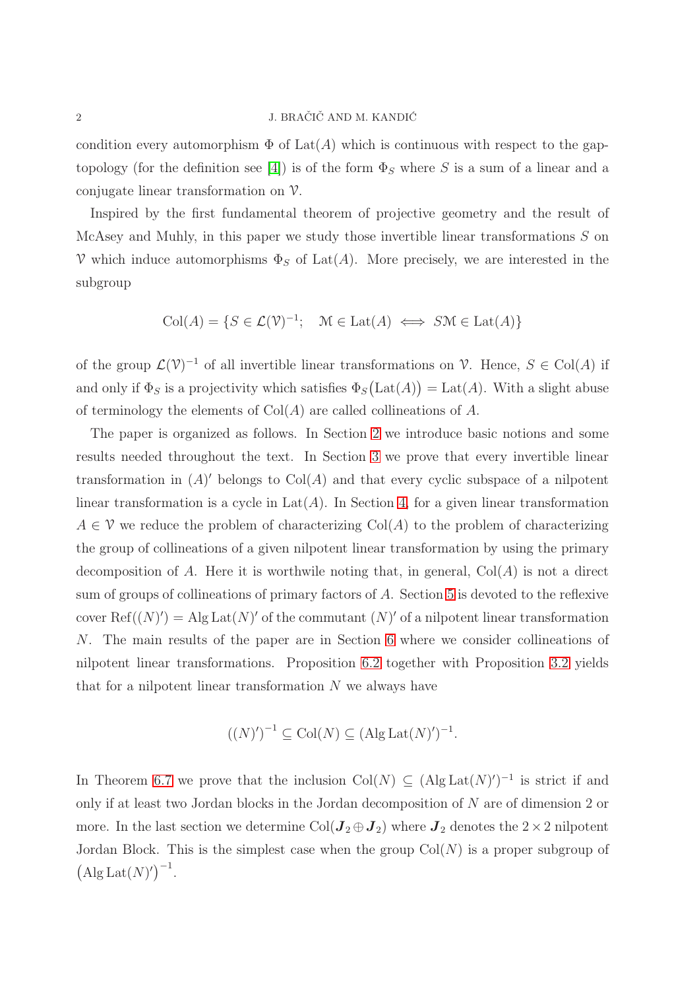condition every automorphism  $\Phi$  of  $\text{Lat}(A)$  which is continuous with respect to the gap-topology (for the definition see [\[4\]](#page-24-2)) is of the form  $\Phi_S$  where S is a sum of a linear and a conjugate linear transformation on V.

Inspired by the first fundamental theorem of projective geometry and the result of McAsey and Muhly, in this paper we study those invertible linear transformations S on V which induce automorphisms  $\Phi_S$  of Lat(A). More precisely, we are interested in the subgroup

 $Col(A) = \{ S \in \mathcal{L}(\mathcal{V})^{-1}; \quad \mathcal{M} \in \text{Lat}(A) \iff S\mathcal{M} \in \text{Lat}(A) \}$ 

of the group  $\mathcal{L}(\mathcal{V})^{-1}$  of all invertible linear transformations on  $\mathcal{V}$ . Hence,  $S \in \text{Col}(A)$  if and only if  $\Phi_S$  is a projectivity which satisfies  $\Phi_S(\text{Lat}(A)) = \text{Lat}(A)$ . With a slight abuse of terminology the elements of  $Col(A)$  are called collineations of A.

The paper is organized as follows. In Section [2](#page-2-0) we introduce basic notions and some results needed throughout the text. In Section [3](#page-3-0) we prove that every invertible linear transformation in  $(A)'$  belongs to  $Col(A)$  and that every cyclic subspace of a nilpotent linear transformation is a cycle in  $Lat(A)$ . In Section [4,](#page-4-0) for a given linear transformation  $A \in \mathcal{V}$  we reduce the problem of characterizing Col(A) to the problem of characterizing the group of collineations of a given nilpotent linear transformation by using the primary decomposition of A. Here it is worthwile noting that, in general,  $Col(A)$  is not a direct sum of groups of collineations of primary factors of A. Section [5](#page-10-0) is devoted to the reflexive cover  $\text{Ref}((N)') = \text{Alg} \text{Lat}(N)'$  of the commutant  $(N)'$  of a nilpotent linear transformation N. The main results of the paper are in Section [6](#page-14-0) where we consider collineations of nilpotent linear transformations. Proposition [6.2](#page-16-0) together with Proposition [3.2](#page-16-0) yields that for a nilpotent linear transformation  $N$  we always have

$$
((N)')^{-1} \subseteq \text{Col}(N) \subseteq (\text{Alg} \text{Lat}(N)')^{-1}.
$$

In Theorem [6.7](#page-19-0) we prove that the inclusion  $Col(N) \subseteq (Alg Lat(N)')^{-1}$  is strict if and only if at least two Jordan blocks in the Jordan decomposition of N are of dimension 2 or more. In the last section we determine Col( $\mathbf{J}_2 \oplus \mathbf{J}_2$ ) where  $\mathbf{J}_2$  denotes the  $2 \times 2$  nilpotent Jordan Block. This is the simplest case when the group  $Col(N)$  is a proper subgroup of  $(Alg Lat(N)')^{-1}$ .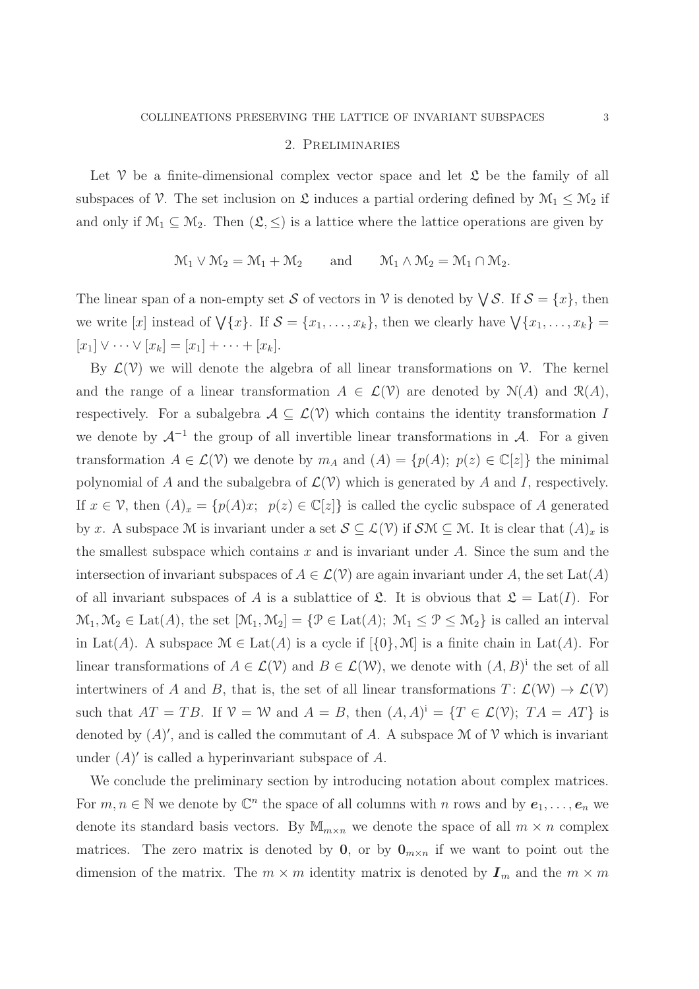## 2. Preliminaries

<span id="page-2-0"></span>Let  $\mathcal V$  be a finite-dimensional complex vector space and let  $\mathfrak L$  be the family of all subspaces of V. The set inclusion on  $\mathfrak L$  induces a partial ordering defined by  $\mathcal{M}_1 \leq \mathcal{M}_2$  if and only if  $\mathcal{M}_1 \subseteq \mathcal{M}_2$ . Then  $(\mathcal{L}, \leq)$  is a lattice where the lattice operations are given by

$$
\mathcal{M}_1 \vee \mathcal{M}_2 = \mathcal{M}_1 + \mathcal{M}_2 \quad \text{and} \quad \mathcal{M}_1 \wedge \mathcal{M}_2 = \mathcal{M}_1 \cap \mathcal{M}_2.
$$

The linear span of a non-empty set S of vectors in  $\mathcal V$  is denoted by  $\bigvee \mathcal S$ . If  $\mathcal S = \{x\}$ , then we write [x] instead of  $\bigvee \{x\}$ . If  $\mathcal{S} = \{x_1, \ldots, x_k\}$ , then we clearly have  $\bigvee \{x_1, \ldots, x_k\}$  $[x_1] \vee \cdots \vee [x_k] = [x_1] + \cdots + [x_k].$ 

By  $\mathcal{L}(\mathcal{V})$  we will denote the algebra of all linear transformations on  $\mathcal{V}$ . The kernel and the range of a linear transformation  $A \in \mathcal{L}(\mathcal{V})$  are denoted by  $\mathcal{N}(A)$  and  $\mathcal{R}(A)$ , respectively. For a subalgebra  $A \subseteq \mathcal{L}(\mathcal{V})$  which contains the identity transformation I we denote by  $\mathcal{A}^{-1}$  the group of all invertible linear transformations in  $\mathcal{A}$ . For a given transformation  $A \in \mathcal{L}(\mathcal{V})$  we denote by  $m_A$  and  $(A) = \{p(A); p(z) \in \mathbb{C}[z]\}\$ the minimal polynomial of A and the subalgebra of  $\mathcal{L}(\mathcal{V})$  which is generated by A and I, respectively. If  $x \in \mathcal{V}$ , then  $(A)_x = \{p(A)x; p(z) \in \mathbb{C}[z]\}\$ is called the cyclic subspace of A generated by x. A subspace M is invariant under a set  $S \subseteq \mathcal{L}(\mathcal{V})$  if  $\mathcal{SM} \subseteq \mathcal{M}$ . It is clear that  $(A)_x$  is the smallest subspace which contains x and is invariant under A. Since the sum and the intersection of invariant subspaces of  $A \in \mathcal{L}(\mathcal{V})$  are again invariant under A, the set Lat(A) of all invariant subspaces of A is a sublattice of  $\mathfrak{L}$ . It is obvious that  $\mathfrak{L} = \text{Lat}(I)$ . For  $\mathcal{M}_1, \mathcal{M}_2 \in \text{Lat}(A)$ , the set  $[\mathcal{M}_1, \mathcal{M}_2] = {\mathcal{P} \in \text{Lat}(A)}$ ;  $\mathcal{M}_1 \leq \mathcal{P} \leq \mathcal{M}_2$  is called an interval in Lat(A). A subspace  $\mathcal{M} \in \text{Lat}(A)$  is a cycle if  $[\{0\}, \mathcal{M}]$  is a finite chain in Lat(A). For linear transformations of  $A \in \mathcal{L}(\mathcal{V})$  and  $B \in \mathcal{L}(\mathcal{W})$ , we denote with  $(A, B)^{i}$  the set of all intertwiners of A and B, that is, the set of all linear transformations  $T: \mathcal{L}(\mathcal{W}) \to \mathcal{L}(\mathcal{V})$ such that  $AT = TB$ . If  $\mathcal{V} = \mathcal{W}$  and  $A = B$ , then  $(A, A)^{i} = \{T \in \mathcal{L}(\mathcal{V}); T A = AT\}$  is denoted by  $(A)'$ , and is called the commutant of A. A subspace M of V which is invariant under  $(A)'$  is called a hyperinvariant subspace of A.

We conclude the preliminary section by introducing notation about complex matrices. For  $m, n \in \mathbb{N}$  we denote by  $\mathbb{C}^n$  the space of all columns with n rows and by  $e_1, \ldots, e_n$  we denote its standard basis vectors. By  $\mathbb{M}_{m \times n}$  we denote the space of all  $m \times n$  complex matrices. The zero matrix is denoted by  $\mathbf{0}$ , or by  $\mathbf{0}_{m \times n}$  if we want to point out the dimension of the matrix. The  $m \times m$  identity matrix is denoted by  $I_m$  and the  $m \times m$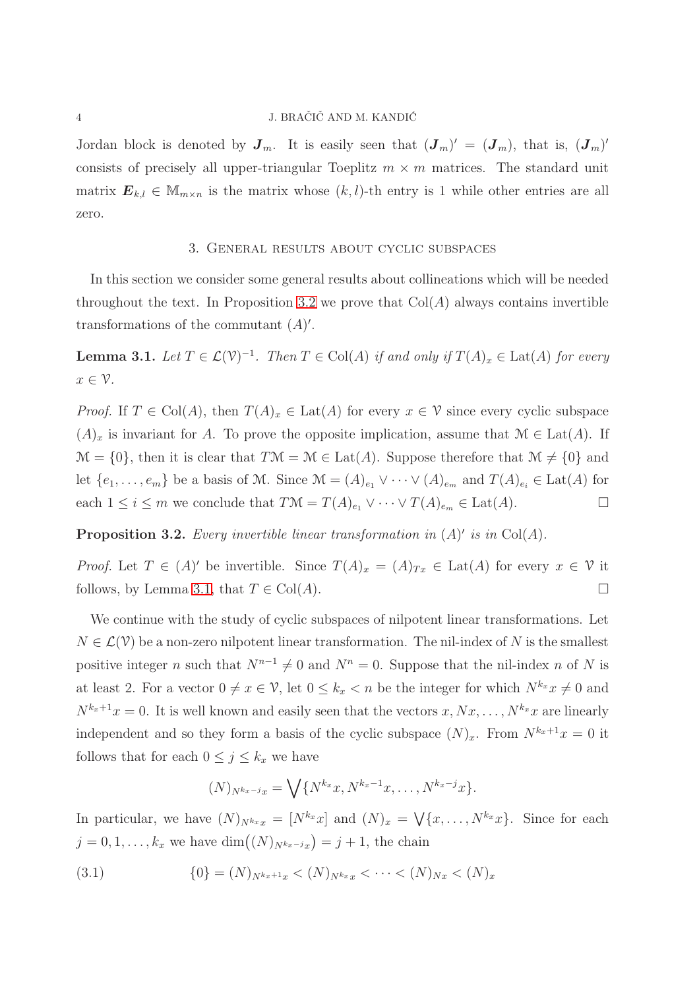#### 4 J. BRAČIČ AND M. KANDIĆ

Jordan block is denoted by  $J_m$ . It is easily seen that  $(J_m)' = (J_m)$ , that is,  $(J_m)'$ consists of precisely all upper-triangular Toeplitz  $m \times m$  matrices. The standard unit matrix  $\mathbf{E}_{k,l} \in \mathbb{M}_{m \times n}$  is the matrix whose  $(k, l)$ -th entry is 1 while other entries are all zero.

## 3. General results about cyclic subspaces

<span id="page-3-0"></span>In this section we consider some general results about collineations which will be needed throughout the text. In Proposition [3.2](#page-16-0) we prove that  $Col(A)$  always contains invertible transformations of the commutant  $(A)$ '.

**Lemma 3.1.** Let  $T \in \mathcal{L}(\mathcal{V})^{-1}$ . Then  $T \in \text{Col}(A)$  if and only if  $T(A)_x \in \text{Lat}(A)$  for every  $x \in \mathcal{V}$ .

*Proof.* If  $T \in \text{Col}(A)$ , then  $T(A)_x \in \text{Lat}(A)$  for every  $x \in \mathcal{V}$  since every cyclic subspace  $(A)_x$  is invariant for A. To prove the opposite implication, assume that  $\mathcal{M} \in \text{Lat}(A)$ . If  $\mathcal{M} = \{0\}$ , then it is clear that  $T\mathcal{M} = \mathcal{M} \in \text{Lat}(A)$ . Suppose therefore that  $\mathcal{M} \neq \{0\}$  and let  $\{e_1, \ldots, e_m\}$  be a basis of M. Since  $\mathcal{M} = (A)_{e_1} \vee \cdots \vee (A)_{e_m}$  and  $T(A)_{e_i} \in \text{Lat}(A)$  for each  $1 \leq i \leq m$  we conclude that  $T\mathcal{M} = T(A)_{e_1} \vee \cdots \vee T(A)_{e_m} \in \text{Lat}(A)$ .

**Proposition 3.2.** Every invertible linear transformation in  $(A)'$  is in Col $(A)$ .

*Proof.* Let  $T \in (A)'$  be invertible. Since  $T(A)_x = (A)_{Tx} \in \text{Lat}(A)$  for every  $x \in \mathcal{V}$  it follows, by Lemma [3.1,](#page-21-0) that  $T \in \text{Col}(A)$ .

We continue with the study of cyclic subspaces of nilpotent linear transformations. Let  $N \in \mathcal{L}(\mathcal{V})$  be a non-zero nilpotent linear transformation. The nil-index of N is the smallest positive integer n such that  $N^{n-1} \neq 0$  and  $N^n = 0$ . Suppose that the nil-index n of N is at least 2. For a vector  $0 \neq x \in \mathcal{V}$ , let  $0 \leq k_x < n$  be the integer for which  $N^{k_x} x \neq 0$  and  $N^{k_x+1}x = 0$ . It is well known and easily seen that the vectors  $x, Nx, \ldots, N^{k_x}x$  are linearly independent and so they form a basis of the cyclic subspace  $(N)_x$ . From  $N^{k_x+1}x = 0$  it follows that for each  $0 \leq j \leq k_x$  we have

<span id="page-3-1"></span>
$$
(N)_{N^{k_x-j}x} = \bigvee \{ N^{k_x}x, N^{k_x-1}x, \dots, N^{k_x-j}x \}.
$$

In particular, we have  $(N)_{N^{k_x}x} = [N^{k_x}x]$  and  $(N)_x = \sqrt{x}, \ldots, N^{k_x}x$ . Since for each  $j = 0, 1, \ldots, k_x$  we have  $\dim((N)_{N^{k_x-j}x}) = j + 1$ , the chain

(3.1) 
$$
\{0\} = (N)_{N^{k_x+1}x} < (N)_{N^{k_x}x} < \cdots < (N)_{Nx} < (N)_x
$$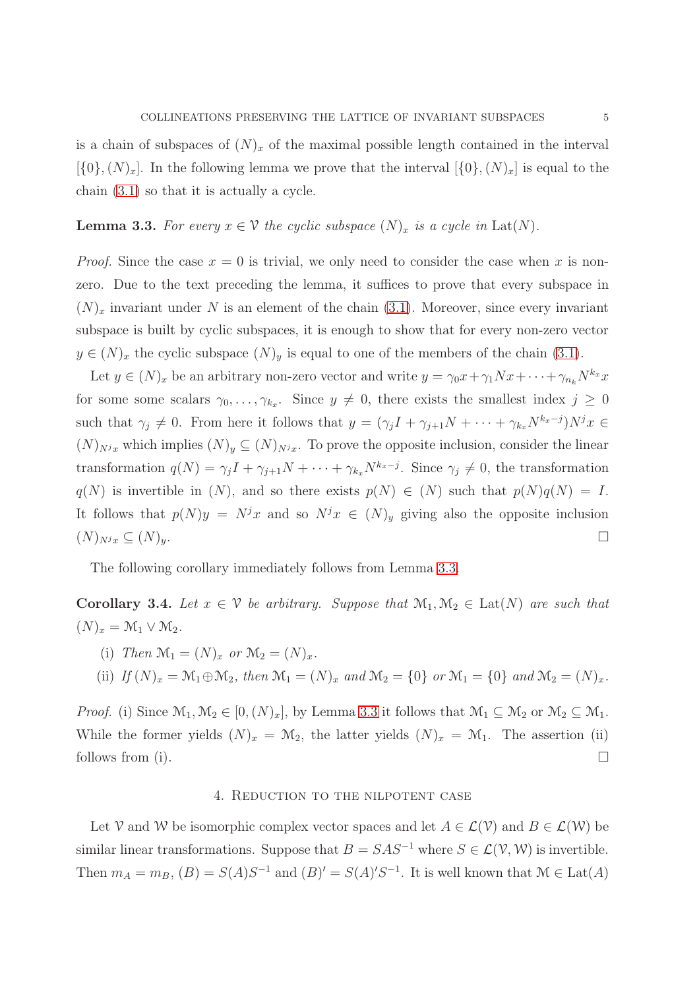is a chain of subspaces of  $(N)_x$  of the maximal possible length contained in the interval  $[\{0\},(N)_x]$ . In the following lemma we prove that the interval  $[\{0\},(N)_x]$  is equal to the chain [\(3.1\)](#page-3-1) so that it is actually a cycle.

## **Lemma 3.3.** For every  $x \in \mathcal{V}$  the cyclic subspace  $(N)_x$  is a cycle in Lat $(N)$ .

*Proof.* Since the case  $x = 0$  is trivial, we only need to consider the case when x is nonzero. Due to the text preceding the lemma, it suffices to prove that every subspace in  $(N)_x$  invariant under N is an element of the chain [\(3.1\)](#page-3-1). Moreover, since every invariant subspace is built by cyclic subspaces, it is enough to show that for every non-zero vector  $y \in (N)_x$  the cyclic subspace  $(N)_y$  is equal to one of the members of the chain [\(3.1\)](#page-3-1).

Let  $y \in (N)_x$  be an arbitrary non-zero vector and write  $y = \gamma_0 x + \gamma_1 N x + \cdots + \gamma_{n_k} N^{k_x} x$ for some some scalars  $\gamma_0, \ldots, \gamma_{k_x}$ . Since  $y \neq 0$ , there exists the smallest index  $j \geq 0$ such that  $\gamma_j \neq 0$ . From here it follows that  $y = (\gamma_j I + \gamma_{j+1}N + \cdots + \gamma_{k_x}N^{k_x-j})N^j x \in$  $(N)_{N^jx}$  which implies  $(N)_y \subseteq (N)_{N^jx}$ . To prove the opposite inclusion, consider the linear transformation  $q(N) = \gamma_j I + \gamma_{j+1} N + \cdots + \gamma_{k_x} N^{k_x-j}$ . Since  $\gamma_j \neq 0$ , the transformation  $q(N)$  is invertible in  $(N)$ , and so there exists  $p(N) \in (N)$  such that  $p(N)q(N) = I$ . It follows that  $p(N)y = N^jx$  and so  $N^jx \in (N)_y$  giving also the opposite inclusion  $(N)_{N^jx} \subseteq (N)_y.$ 

The following corollary immediately follows from Lemma [3.3.](#page-17-0)

**Corollary 3.4.** Let  $x \in \mathcal{V}$  be arbitrary. Suppose that  $\mathcal{M}_1, \mathcal{M}_2 \in \text{Lat}(N)$  are such that  $(N)_x = \mathcal{M}_1 \vee \mathcal{M}_2.$ 

(i) Then 
$$
\mathcal{M}_1 = (N)_x
$$
 or  $\mathcal{M}_2 = (N)_x$ .

(ii) If 
$$
(N)_x = \mathcal{M}_1 \oplus \mathcal{M}_2
$$
, then  $\mathcal{M}_1 = (N)_x$  and  $\mathcal{M}_2 = \{0\}$  or  $\mathcal{M}_1 = \{0\}$  and  $\mathcal{M}_2 = (N)_x$ .

<span id="page-4-0"></span>*Proof.* (i) Since  $\mathcal{M}_1, \mathcal{M}_2 \in [0, (N)_x]$ , by Lemma [3.3](#page-17-0) it follows that  $\mathcal{M}_1 \subseteq \mathcal{M}_2$  or  $\mathcal{M}_2 \subseteq \mathcal{M}_1$ . While the former yields  $(N)_x = \mathcal{M}_2$ , the latter yields  $(N)_x = \mathcal{M}_1$ . The assertion (ii) follows from (i).  $\Box$ 

## 4. Reduction to the nilpotent case

Let V and W be isomorphic complex vector spaces and let  $A \in \mathcal{L}(\mathcal{V})$  and  $B \in \mathcal{L}(\mathcal{W})$  be similar linear transformations. Suppose that  $B = SAS^{-1}$  where  $S \in \mathcal{L}(\mathcal{V}, \mathcal{W})$  is invertible. Then  $m_A = m_B$ ,  $(B) = S(A)S^{-1}$  and  $(B)' = S(A)'S^{-1}$ . It is well known that  $\mathcal{M} \in \text{Lat}(A)$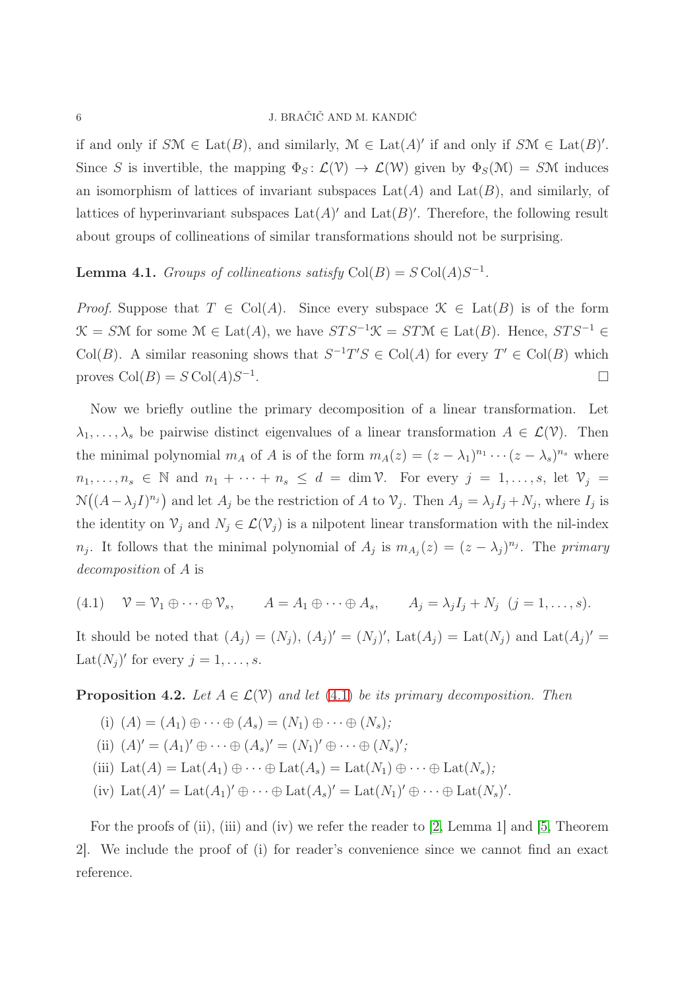#### 6 J. BRAČIČ AND M. KANDIĆ

if and only if  $S\mathcal{M} \in \text{Lat}(B)$ , and similarly,  $\mathcal{M} \in \text{Lat}(A)'$  if and only if  $S\mathcal{M} \in \text{Lat}(B)'$ . Since S is invertible, the mapping  $\Phi_S : \mathcal{L}(\mathcal{V}) \to \mathcal{L}(\mathcal{W})$  given by  $\Phi_S(\mathcal{M}) = S\mathcal{M}$  induces an isomorphism of lattices of invariant subspaces  $\text{Lat}(A)$  and  $\text{Lat}(B)$ , and similarly, of lattices of hyperinvariant subspaces  $\text{Lat}(A)'$  and  $\text{Lat}(B)'$ . Therefore, the following result about groups of collineations of similar transformations should not be surprising.

# **Lemma 4.1.** Groups of collineations satisfy  $Col(B) = S Col(A)S^{-1}$ .

*Proof.* Suppose that  $T \in \text{Col}(A)$ . Since every subspace  $\mathcal{K} \in \text{Lat}(B)$  is of the form  $\mathcal{K} = S\mathcal{M}$  for some  $\mathcal{M} \in \text{Lat}(A)$ , we have  $STS^{-1}\mathcal{K} = ST\mathcal{M} \in \text{Lat}(B)$ . Hence,  $STS^{-1} \in$ Col(B). A similar reasoning shows that  $S^{-1}T'S \in Col(A)$  for every  $T' \in Col(B)$  which proves  $Col(B) = S Col(A)S^{-1}$ .

Now we briefly outline the primary decomposition of a linear transformation. Let  $\lambda_1, \ldots, \lambda_s$  be pairwise distinct eigenvalues of a linear transformation  $A \in \mathcal{L}(\mathcal{V})$ . Then the minimal polynomial  $m_A$  of A is of the form  $m_A(z) = (z - \lambda_1)^{n_1} \cdots (z - \lambda_s)^{n_s}$  where  $n_1, \ldots, n_s \in \mathbb{N}$  and  $n_1 + \cdots + n_s \leq d = \dim \mathcal{V}$ . For every  $j = 1, \ldots, s$ , let  $\mathcal{V}_j =$  $\mathcal{N}((A - \lambda_j I)^{n_j})$  and let  $A_j$  be the restriction of A to  $\mathcal{V}_j$ . Then  $A_j = \lambda_j I_j + N_j$ , where  $I_j$  is the identity on  $\mathcal{V}_j$  and  $N_j \in \mathcal{L}(\mathcal{V}_j)$  is a nilpotent linear transformation with the nil-index  $n_j$ . It follows that the minimal polynomial of  $A_j$  is  $m_{A_j}(z) = (z - \lambda_j)^{n_j}$ . The primary decomposition of A is

<span id="page-5-0"></span>(4.1) 
$$
\mathcal{V} = \mathcal{V}_1 \oplus \cdots \oplus \mathcal{V}_s, \qquad A = A_1 \oplus \cdots \oplus A_s, \qquad A_j = \lambda_j I_j + N_j \quad (j = 1, \ldots, s).
$$

It should be noted that  $(A_j) = (N_j)$ ,  $(A_j)' = (N_j)'$ ,  $Lat(A_j) = Lat(N_j)$  and  $Lat(A_j)' =$ Lat $(N_j)'$  for every  $j = 1, \ldots, s$ .

**Proposition 4.2.** Let  $A \in \mathcal{L}(\mathcal{V})$  and let [\(4.1\)](#page-5-0) be its primary decomposition. Then

- (i)  $(A) = (A_1) \oplus \cdots \oplus (A_s) = (N_1) \oplus \cdots \oplus (N_s);$
- (ii)  $(A)' = (A_1)' \oplus \cdots \oplus (A_s)' = (N_1)' \oplus \cdots \oplus (N_s)'$ ;
- (iii) Lat(A) = Lat(A<sub>1</sub>)  $\oplus \cdots \oplus$  Lat(A<sub>s</sub>) = Lat(N<sub>1</sub>)  $\oplus \cdots \oplus$  Lat(N<sub>s</sub>);
- (iv)  $\text{Lat}(A)' = \text{Lat}(A_1)' \oplus \cdots \oplus \text{Lat}(A_s)' = \text{Lat}(N_1)' \oplus \cdots \oplus \text{Lat}(N_s)'$ .

For the proofs of (ii), (iii) and (iv) we refer the reader to [\[2,](#page-24-3) Lemma 1] and [\[5,](#page-24-4) Theorem 2]. We include the proof of (i) for reader's convenience since we cannot find an exact reference.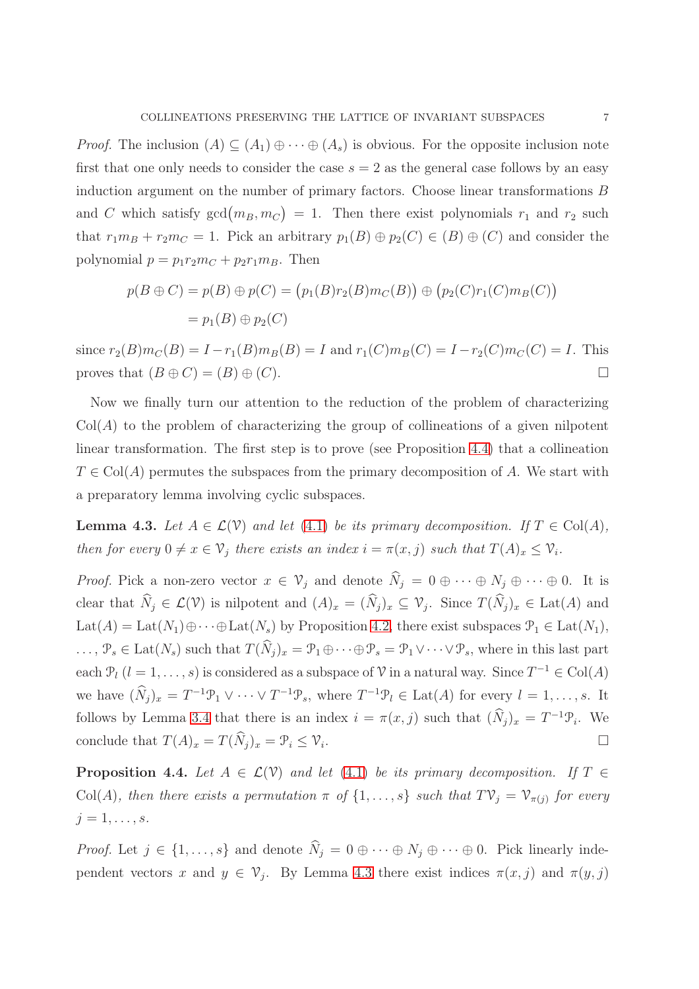*Proof.* The inclusion  $(A) \subseteq (A_1) \oplus \cdots \oplus (A_s)$  is obvious. For the opposite inclusion note first that one only needs to consider the case  $s = 2$  as the general case follows by an easy induction argument on the number of primary factors. Choose linear transformations B and C which satisfy  $gcd(m_B, m_C) = 1$ . Then there exist polynomials  $r_1$  and  $r_2$  such that  $r_1m_B + r_2m_C = 1$ . Pick an arbitrary  $p_1(B) \oplus p_2(C) \in (B) \oplus (C)$  and consider the polynomial  $p = p_1 r_2 m_C + p_2 r_1 m_B$ . Then

$$
p(B \oplus C) = p(B) \oplus p(C) = (p_1(B)r_2(B)m_C(B)) \oplus (p_2(C)r_1(C)m_B(C))
$$
  
=  $p_1(B) \oplus p_2(C)$ 

since  $r_2(B)m_C(B) = I - r_1(B)m_B(B) = I$  and  $r_1(C)m_B(C) = I - r_2(C)m_C(C) = I$ . This proves that  $(B \oplus C) = (B) \oplus (C)$ .

Now we finally turn our attention to the reduction of the problem of characterizing  $Col(A)$  to the problem of characterizing the group of collineations of a given nilpotent linear transformation. The first step is to prove (see Proposition [4.4\)](#page-17-1) that a collineation  $T \in Col(A)$  permutes the subspaces from the primary decomposition of A. We start with a preparatory lemma involving cyclic subspaces.

**Lemma 4.3.** Let  $A \in \mathcal{L}(\mathcal{V})$  and let [\(4.1\)](#page-5-0) be its primary decomposition. If  $T \in \text{Col}(A)$ , then for every  $0 \neq x \in V_j$  there exists an index  $i = \pi(x, j)$  such that  $T(A)_x \leq V_i$ .

*Proof.* Pick a non-zero vector  $x \in V_j$  and denote  $\widehat{N}_j = 0 \oplus \cdots \oplus N_j \oplus \cdots \oplus 0$ . It is clear that  $\widehat{N}_j \in \mathcal{L}(\mathcal{V})$  is nilpotent and  $(A)_x = (\widehat{N}_j)_x \subseteq \mathcal{V}_j$ . Since  $T(\widehat{N}_j)_x \in \text{Lat}(A)$  and Lat(A) = Lat( $N_1$ ) $\oplus \cdots \oplus$ Lat( $N_s$ ) by Proposition [4.2,](#page-16-0) there exist subspaces  $\mathcal{P}_1 \in$  Lat( $N_1$ ),  $\ldots, \mathcal{P}_s \in \text{Lat}(N_s)$  such that  $T(\widehat{N}_i)_x = \mathcal{P}_1 \oplus \cdots \oplus \mathcal{P}_s = \mathcal{P}_1 \vee \cdots \vee \mathcal{P}_s$ , where in this last part each  $\mathcal{P}_l$   $(l = 1, \ldots, s)$  is considered as a subspace of  $\mathcal V$  in a natural way. Since  $T^{-1} \in \text{Col}(A)$ we have  $(\widehat{N}_j)_x = T^{-1} \mathcal{P}_1 \vee \cdots \vee T^{-1} \mathcal{P}_s$ , where  $T^{-1} \mathcal{P}_l \in \text{Lat}(A)$  for every  $l = 1, \ldots, s$ . It follows by Lemma [3.4](#page-17-1) that there is an index  $i = \pi(x, j)$  such that  $(\widehat{N}_j)_x = T^{-1} \mathcal{P}_i$ . We conclude that  $T(A)_x = T(\widehat{N}_j)_x = \mathcal{P}_i \leq \mathcal{V}_i$ . .

**Proposition 4.4.** Let  $A \in \mathcal{L}(\mathcal{V})$  and let [\(4.1\)](#page-5-0) be its primary decomposition. If  $T \in$ Col(A), then there exists a permutation  $\pi$  of  $\{1,\ldots,s\}$  such that  $T\mathcal{V}_j = \mathcal{V}_{\pi(j)}$  for every  $j=1,\ldots,s.$ 

*Proof.* Let  $j \in \{1, ..., s\}$  and denote  $\widehat{N}_j = 0 \oplus \cdots \oplus N_j \oplus \cdots \oplus 0$ . Pick linearly independent vectors x and  $y \in \mathcal{V}_j$ . By Lemma [4.3](#page-17-0) there exist indices  $\pi(x, j)$  and  $\pi(y, j)$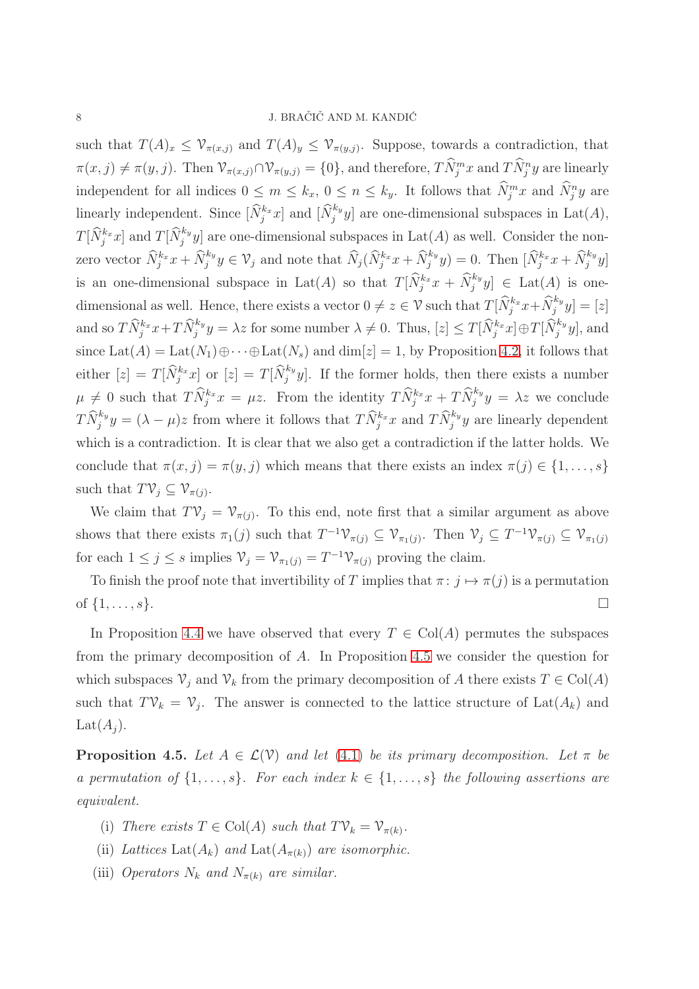such that  $T(A)_x \leq \mathcal{V}_{\pi(x,j)}$  and  $T(A)_y \leq \mathcal{V}_{\pi(y,j)}$ . Suppose, towards a contradiction, that  $\pi(x, j) \neq \pi(y, j)$ . Then  $\mathcal{V}_{\pi(x, j)} \cap \mathcal{V}_{\pi(y, j)} = \{0\}$ , and therefore,  $T\widehat{N}_j^m x$  and  $T\widehat{N}_j^n y$  are linearly independent for all indices  $0 \le m \le k_x$ ,  $0 \le n \le k_y$ . It follows that  $\hat{N}_j^m x$  and  $\hat{N}_j^n y$  are linearly independent. Since  $[\widehat{N}_j^{k_x}x]$  and  $[\widehat{N}_j^{k_y}y]$  are one-dimensional subspaces in Lat(A),  $T[\widehat{N}_j^{k_x}x]$  and  $T[\widehat{N}_j^{k_y}y]$  are one-dimensional subspaces in  $\mathrm{Lat}(A)$  as well. Consider the nonzero vector  $\widehat{N}_j^{k_x} x + \widehat{N}_j^{k_y} y \in V_j$  and note that  $\widehat{N}_j(\widehat{N}_j^{k_x} x + \widehat{N}_j^{k_y} y) = 0$ . Then  $[\widehat{N}_j^{k_x} x + \widehat{N}_j^{k_y} y]$ is an one-dimensional subspace in Lat(A) so that  $T[\widehat{N}_j^{k_x}x + \widehat{N}_j^{k_y}y] \in \text{Lat}(A)$  is onedimensional as well. Hence, there exists a vector  $0 \neq z \in \mathcal{V}$  such that  $T[\widehat{N}_j^{k_x} x + \widehat{N}_j^{k_y}]$  $\left[\begin{smallmatrix} x_y \\ j \end{smallmatrix}\right] = [z]$ and so  $T\widehat{N}_j^{k_x}x+T\widehat{N}_j^{k_y}y=\lambda z$  for some number  $\lambda\neq 0$ . Thus,  $[z]\leq T[\widehat{N}_j^{k_x}x]\oplus T[\widehat{N}_j^{k_y}y]$ , and since  $\text{Lat}(A) = \text{Lat}(N_1) \oplus \cdots \oplus \text{Lat}(N_s)$  and  $\dim[z] = 1$ , by Proposition [4.2,](#page-16-0) it follows that either  $[z] = T[\widehat{N}_j^{k_x}x]$  or  $[z] = T[\widehat{N}_j^{k_y}y]$ . If the former holds, then there exists a number  $\mu \neq 0$  such that  $T\widehat{N}_j^{k_x}x = \mu z$ . From the identity  $T\widehat{N}_j^{k_x}x + T\widehat{N}_j^{k_y}y = \lambda z$  we conclude  $T\widehat{N}_j^{k_y}y = (\lambda - \mu)z$  from where it follows that  $T\widehat{N}_j^{k_x}x$  and  $T\widehat{N}_j^{k_y}y$  are linearly dependent which is a contradiction. It is clear that we also get a contradiction if the latter holds. We conclude that  $\pi(x, j) = \pi(y, j)$  which means that there exists an index  $\pi(j) \in \{1, \ldots, s\}$ such that  $T\mathcal{V}_j \subseteq \mathcal{V}_{\pi(j)}$ .

We claim that  $T\mathcal{V}_j = \mathcal{V}_{\pi(j)}$ . To this end, note first that a similar argument as above shows that there exists  $\pi_1(j)$  such that  $T^{-1}\mathcal{V}_{\pi(j)} \subseteq \mathcal{V}_{\pi_1(j)}$ . Then  $\mathcal{V}_j \subseteq T^{-1}\mathcal{V}_{\pi(j)} \subseteq \mathcal{V}_{\pi_1(j)}$ for each  $1 \leq j \leq s$  implies  $\mathcal{V}_j = \mathcal{V}_{\pi_1(j)} = T^{-1} \mathcal{V}_{\pi(j)}$  proving the claim.

To finish the proof note that invertibility of T implies that  $\pi : j \mapsto \pi(j)$  is a permutation of  $\{1, \ldots, s\}$ .

In Proposition [4.4](#page-17-1) we have observed that every  $T \in Col(A)$  permutes the subspaces from the primary decomposition of A. In Proposition [4.5](#page-18-0) we consider the question for which subspaces  $\mathcal{V}_j$  and  $\mathcal{V}_k$  from the primary decomposition of A there exists  $T \in \text{Col}(A)$ such that  $T\mathcal{V}_k = \mathcal{V}_j$ . The answer is connected to the lattice structure of Lat $(A_k)$  and  $Lat(A_i).$ 

**Proposition 4.5.** Let  $A \in \mathcal{L}(\mathcal{V})$  and let [\(4.1\)](#page-5-0) be its primary decomposition. Let  $\pi$  be a permutation of  $\{1, \ldots, s\}$ . For each index  $k \in \{1, \ldots, s\}$  the following assertions are equivalent.

- (i) There exists  $T \in \text{Col}(A)$  such that  $T\mathcal{V}_k = \mathcal{V}_{\pi(k)}$ .
- (ii) Lattices Lat( $A_k$ ) and Lat( $A_{\pi(k)}$ ) are isomorphic.
- (iii) Operators  $N_k$  and  $N_{\pi(k)}$  are similar.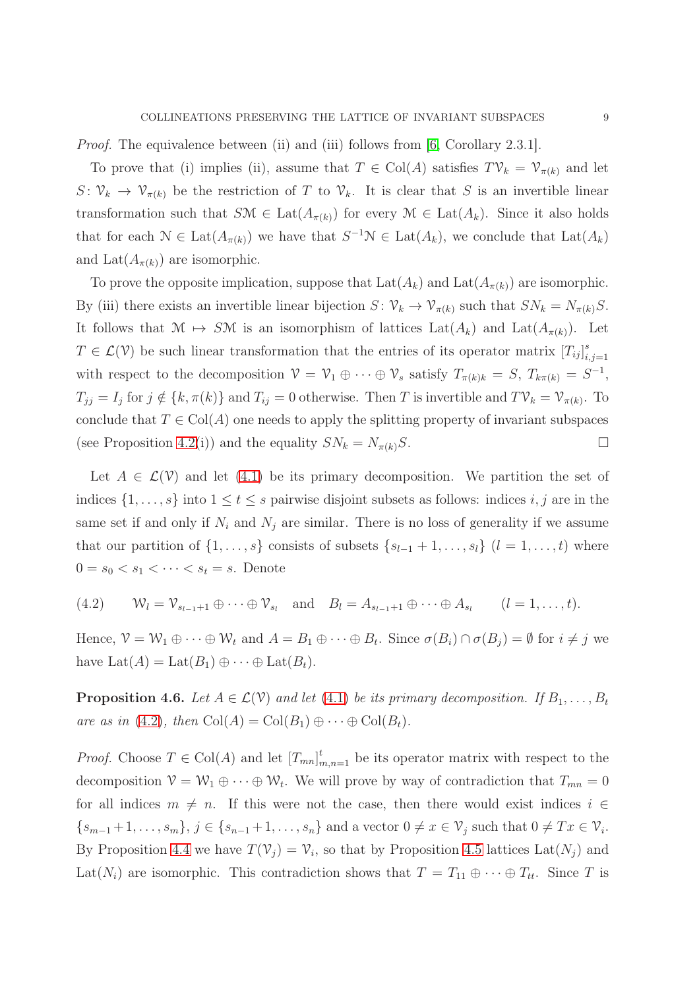*Proof.* The equivalence between (ii) and (iii) follows from [\[6,](#page-24-1) Corollary 2.3.1].

To prove that (i) implies (ii), assume that  $T \in Col(A)$  satisfies  $T\mathcal{V}_k = \mathcal{V}_{\pi(k)}$  and let  $S\colon \mathcal{V}_k \to \mathcal{V}_{\pi(k)}$  be the restriction of T to  $\mathcal{V}_k$ . It is clear that S is an invertible linear transformation such that  $S\mathcal{M} \in \text{Lat}(A_{\pi(k)})$  for every  $\mathcal{M} \in \text{Lat}(A_k)$ . Since it also holds that for each  $\mathcal{N} \in \text{Lat}(A_{\pi(k)})$  we have that  $S^{-1}\mathcal{N} \in \text{Lat}(A_k)$ , we conclude that  $\text{Lat}(A_k)$ and Lat $(A_{\pi(k)})$  are isomorphic.

To prove the opposite implication, suppose that  $Lat(A_k)$  and  $Lat(A_{\pi(k)})$  are isomorphic. By (iii) there exists an invertible linear bijection  $S \colon \mathcal{V}_k \to \mathcal{V}_{\pi(k)}$  such that  $SN_k = N_{\pi(k)}S$ . It follows that  $\mathcal{M} \mapsto S\mathcal{M}$  is an isomorphism of lattices  $\text{Lat}(A_k)$  and  $\text{Lat}(A_{\pi(k)})$ . Let  $T \in \mathcal{L}(\mathcal{V})$  be such linear transformation that the entries of its operator matrix  $[T_{ij}]_i^s$  $i,j=1$ with respect to the decomposition  $\mathcal{V} = \mathcal{V}_1 \oplus \cdots \oplus \mathcal{V}_s$  satisfy  $T_{\pi(k)k} = S$ ,  $T_{k\pi(k)} = S^{-1}$ ,  $T_{jj} = I_j$  for  $j \notin \{k, \pi(k)\}\$  and  $T_{ij} = 0$  otherwise. Then T is invertible and  $T\mathcal{V}_k = \mathcal{V}_{\pi(k)}$ . To conclude that  $T \in Col(A)$  one needs to apply the splitting property of invariant subspaces (see Proposition [4.2\(](#page-16-0)i)) and the equality  $SN_k = N_{\pi(k)}S$ .

Let  $A \in \mathcal{L}(\mathcal{V})$  and let [\(4.1\)](#page-5-0) be its primary decomposition. We partition the set of indices  $\{1, \ldots, s\}$  into  $1 \le t \le s$  pairwise disjoint subsets as follows: indices i, j are in the same set if and only if  $N_i$  and  $N_j$  are similar. There is no loss of generality if we assume that our partition of  $\{1, \ldots, s\}$  consists of subsets  $\{s_{l-1} + 1, \ldots, s_l\}$   $(l = 1, \ldots, t)$  where  $0 = s_0 < s_1 < \cdots < s_t = s$ . Denote

<span id="page-8-0"></span>(4.2)  $\mathcal{W}_l = \mathcal{V}_{s_{l-1}+1} \oplus \cdots \oplus \mathcal{V}_{s_l}$  and  $B_l = A_{s_{l-1}+1} \oplus \cdots \oplus A_{s_l}$   $(l = 1, \ldots, t).$ 

Hence,  $\mathcal{V} = \mathcal{W}_1 \oplus \cdots \oplus \mathcal{W}_t$  and  $A = B_1 \oplus \cdots \oplus B_t$ . Since  $\sigma(B_i) \cap \sigma(B_j) = \emptyset$  for  $i \neq j$  we have  $\text{Lat}(A) = \text{Lat}(B_1) \oplus \cdots \oplus \text{Lat}(B_t).$ 

**Proposition 4.6.** Let  $A \in \mathcal{L}(V)$  and let [\(4.1\)](#page-5-0) be its primary decomposition. If  $B_1, \ldots, B_t$ are as in [\(4.2\)](#page-8-0), then  $Col(A) = Col(B_1) \oplus \cdots \oplus Col(B_t)$ .

*Proof.* Choose  $T \in \text{Col}(A)$  and let  $[T_{mn}]_{m,n=1}^t$  be its operator matrix with respect to the decomposition  $V = W_1 \oplus \cdots \oplus W_t$ . We will prove by way of contradiction that  $T_{mn} = 0$ for all indices  $m \neq n$ . If this were not the case, then there would exist indices  $i \in$  $\{s_{m-1}+1,\ldots,s_m\},\,j\in\{s_{n-1}+1,\ldots,s_n\}\$ and a vector  $0\neq x\in\mathcal{V}_j$  such that  $0\neq Tx\in\mathcal{V}_i$ . By Proposition [4.4](#page-17-1) we have  $T(\mathcal{V}_j) = \mathcal{V}_i$ , so that by Proposition [4.5](#page-18-0) lattices Lat $(N_j)$  and Lat(N<sub>i</sub>) are isomorphic. This contradiction shows that  $T = T_{11} \oplus \cdots \oplus T_{tt}$ . Since T is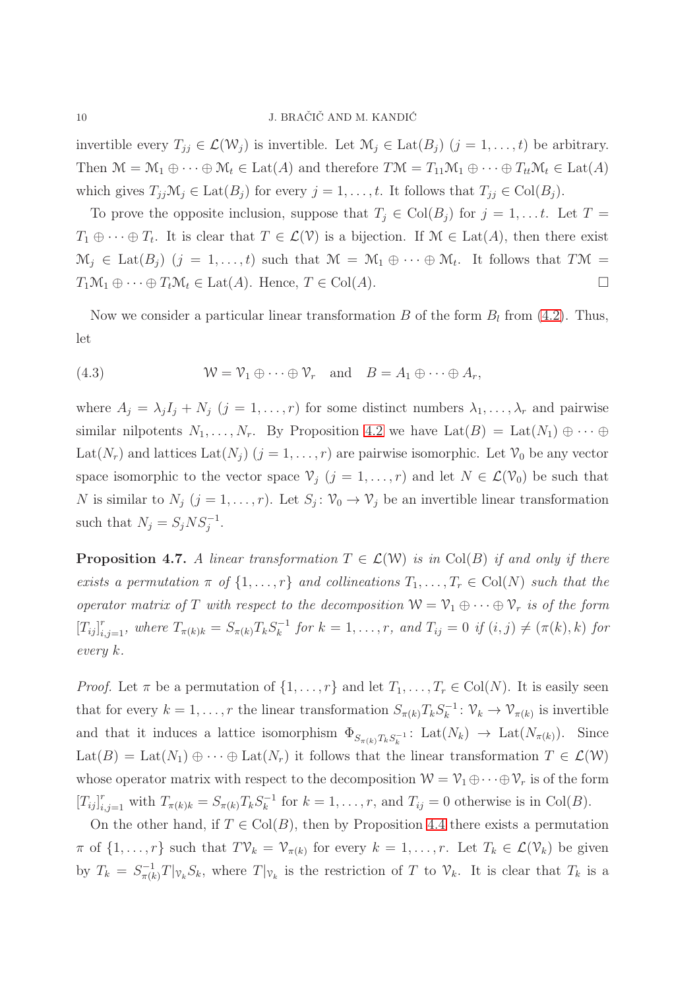invertible every  $T_{jj} \in \mathcal{L}(\mathcal{W}_j)$  is invertible. Let  $\mathcal{M}_j \in \text{Lat}(B_j)$   $(j = 1, ..., t)$  be arbitrary. Then  $\mathcal{M} = \mathcal{M}_1 \oplus \cdots \oplus \mathcal{M}_t \in \text{Lat}(A)$  and therefore  $T\mathcal{M} = T_{11}\mathcal{M}_1 \oplus \cdots \oplus T_{tt}\mathcal{M}_t \in \text{Lat}(A)$ which gives  $T_{jj} \mathcal{M}_j \in \text{Lat}(B_j)$  for every  $j = 1, \ldots, t$ . It follows that  $T_{jj} \in \text{Col}(B_j)$ .

To prove the opposite inclusion, suppose that  $T_j \in \text{Col}(B_j)$  for  $j = 1, \ldots t$ . Let  $T =$  $T_1 \oplus \cdots \oplus T_t$ . It is clear that  $T \in \mathcal{L}(\mathcal{V})$  is a bijection. If  $\mathcal{M} \in \text{Lat}(A)$ , then there exist  $\mathcal{M}_j \in \text{Lat}(B_j)$   $(j = 1, ..., t)$  such that  $\mathcal{M} = \mathcal{M}_1 \oplus \cdots \oplus \mathcal{M}_t$ . It follows that  $T\mathcal{M} =$  $T_1\mathcal{M}_1 \oplus \cdots \oplus T_t\mathcal{M}_t \in \text{Lat}(A)$ . Hence,  $T \in \text{Col}(A)$ .

Now we consider a particular linear transformation  $B$  of the form  $B_l$  from [\(4.2\)](#page-8-0). Thus, let

(4.3) 
$$
\mathcal{W} = \mathcal{V}_1 \oplus \cdots \oplus \mathcal{V}_r \text{ and } B = A_1 \oplus \cdots \oplus A_r,
$$

where  $A_j = \lambda_j I_j + N_j$   $(j = 1, ..., r)$  for some distinct numbers  $\lambda_1, ..., \lambda_r$  and pairwise similar nilpotents  $N_1, \ldots, N_r$ . By Proposition [4.2](#page-16-0) we have  $Lat(B) = Lat(N_1) \oplus \cdots \oplus$ Lat(N<sub>r</sub>) and lattices Lat(N<sub>j</sub>) ( $j = 1, ..., r$ ) are pairwise isomorphic. Let  $\mathcal{V}_0$  be any vector space isomorphic to the vector space  $\mathcal{V}_j$   $(j = 1, ..., r)$  and let  $N \in \mathcal{L}(\mathcal{V}_0)$  be such that N is similar to  $N_j$   $(j = 1, ..., r)$ . Let  $S_j: V_0 \to V_j$  be an invertible linear transformation such that  $N_j = S_j N S_j^{-1}$ .

**Proposition 4.7.** A linear transformation  $T \in \mathcal{L}(\mathcal{W})$  is in Col(B) if and only if there exists a permutation  $\pi$  of  $\{1, \ldots, r\}$  and collineations  $T_1, \ldots, T_r \in Col(N)$  such that the operator matrix of T with respect to the decomposition  $W = V_1 \oplus \cdots \oplus V_r$  is of the form  $[T_{ij}]_{i,j=1}^r$ , where  $T_{\pi(k)k} = S_{\pi(k)}T_kS_k^{-1}$  $f_k^{-1}$  for  $k = 1, \ldots, r$ , and  $T_{ij} = 0$  if  $(i, j) \neq (\pi(k), k)$  for every k.

*Proof.* Let  $\pi$  be a permutation of  $\{1, \ldots, r\}$  and let  $T_1, \ldots, T_r \in \mathrm{Col}(N)$ . It is easily seen that for every  $k = 1, ..., r$  the linear transformation  $S_{\pi(k)}T_kS_k^{-1}$  $\mathcal{V}_k^{-1}$ :  $\mathcal{V}_k \to \mathcal{V}_{\pi(k)}$  is invertible and that it induces a lattice isomorphism  $\Phi_{S_{\pi(k)}T_kS_k^{-1}}$ : Lat $(N_k) \to \text{Lat}(N_{\pi(k)})$ . Since  $\text{Lat}(B) = \text{Lat}(N_1) \oplus \cdots \oplus \text{Lat}(N_r)$  it follows that the linear transformation  $T \in \mathcal{L}(W)$ whose operator matrix with respect to the decomposition  $W = V_1 \oplus \cdots \oplus V_r$  is of the form  $[T_{ij}]_{i,j=1}^r$  with  $T_{\pi(k)k} = S_{\pi(k)}T_kS_k^{-1}$  $f_k^{-1}$  for  $k = 1, \ldots, r$ , and  $T_{ij} = 0$  otherwise is in Col(B).

On the other hand, if  $T \in Col(B)$ , then by Proposition [4.4](#page-17-1) there exists a permutation  $\pi$  of  $\{1,\ldots,r\}$  such that  $T\mathcal{V}_k = \mathcal{V}_{\pi(k)}$  for every  $k = 1,\ldots,r$ . Let  $T_k \in \mathcal{L}(\mathcal{V}_k)$  be given by  $T_k = S_{\pi(k)}^{-1}$  $\pi_{\pi(k)}^{-1}T|\mathcal{V}_kS_k$ , where  $T|\mathcal{V}_k$  is the restriction of T to  $\mathcal{V}_k$ . It is clear that  $T_k$  is a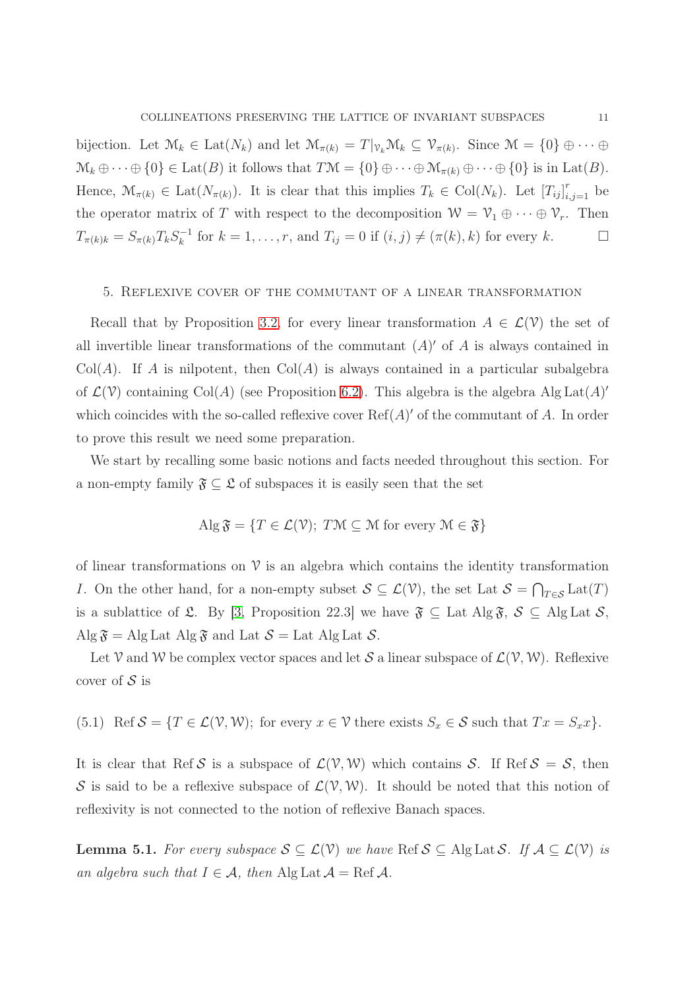bijection. Let  $\mathcal{M}_k \in \text{Lat}(N_k)$  and let  $\mathcal{M}_{\pi(k)} = T|_{\mathcal{V}_k} \mathcal{M}_k \subseteq \mathcal{V}_{\pi(k)}$ . Since  $\mathcal{M} = \{0\} \oplus \cdots \oplus$  $\mathcal{M}_k \oplus \cdots \oplus \{0\} \in \text{Lat}(B)$  it follows that  $T\mathcal{M} = \{0\} \oplus \cdots \oplus \mathcal{M}_{\pi(k)} \oplus \cdots \oplus \{0\}$  is in Lat $(B)$ . Hence,  $\mathcal{M}_{\pi(k)} \in \text{Lat}(N_{\pi(k)})$ . It is clear that this implies  $T_k \in \text{Col}(N_k)$ . Let  $[T_{ij}]_{i,j=1}^r$  be the operator matrix of T with respect to the decomposition  $W = \mathcal{V}_1 \oplus \cdots \oplus \mathcal{V}_r$ . Then  $T_{\pi(k)k} = S_{\pi(k)}T_kS_k^{-1}$  $f_k^{-1}$  for  $k = 1, \ldots, r$ , and  $T_{ij} = 0$  if  $(i, j) \neq (\pi(k), k)$  for every k.

### <span id="page-10-0"></span>5. Reflexive cover of the commutant of a linear transformation

Recall that by Proposition [3.2,](#page-16-0) for every linear transformation  $A \in \mathcal{L}(\mathcal{V})$  the set of all invertible linear transformations of the commutant  $(A)'$  of A is always contained in  $Col(A)$ . If A is nilpotent, then  $Col(A)$  is always contained in a particular subalgebra of  $\mathcal{L}(\mathcal{V})$  containing Col(A) (see Proposition [6.2\)](#page-16-0). This algebra is the algebra Alg Lat(A)' which coincides with the so-called reflexive cover  $\text{Ref}(A)'$  of the commutant of A. In order to prove this result we need some preparation.

We start by recalling some basic notions and facts needed throughout this section. For a non-empty family  $\mathfrak{F} \subseteq \mathfrak{L}$  of subspaces it is easily seen that the set

$$
\operatorname{Alg} \mathfrak{F} = \{ T \in \mathcal{L}(\mathcal{V}); \ T\mathcal{M} \subseteq \mathcal{M} \text{ for every } \mathcal{M} \in \mathfrak{F} \}
$$

of linear transformations on  $\nu$  is an algebra which contains the identity transformation I. On the other hand, for a non-empty subset  $S \subseteq \mathcal{L}(\mathcal{V})$ , the set Lat  $S = \bigcap_{T \in \mathcal{S}} \text{Lat}(T)$ is a sublattice of £. By [\[3,](#page-24-5) Proposition 22.3] we have  $\mathfrak{F} \subseteq$  Lat Alg  $\mathfrak{F}, \mathcal{S} \subseteq$  Alg Lat  $\mathcal{S},$ Alg  $\mathfrak{F} =$  Alg Lat Alg  $\mathfrak{F}$  and Lat  $\mathcal{S} =$  Lat Alg Lat  $\mathcal{S}$ .

Let V and W be complex vector spaces and let S a linear subspace of  $\mathcal{L}(\mathcal{V}, \mathcal{W})$ . Reflexive cover of  $S$  is

(5.1) Ref  $S = \{T \in \mathcal{L}(V, W);$  for every  $x \in V$  there exists  $S_x \in \mathcal{S}$  such that  $Tx = S_x x\}.$ 

It is clear that Ref S is a subspace of  $\mathcal{L}(\mathcal{V}, \mathcal{W})$  which contains S. If Ref  $S = S$ , then S is said to be a reflexive subspace of  $\mathcal{L}(\mathcal{V}, \mathcal{W})$ . It should be noted that this notion of reflexivity is not connected to the notion of reflexive Banach spaces.

**Lemma 5.1.** For every subspace  $S \subseteq \mathcal{L}(V)$  we have Ref  $S \subseteq \text{Alg}$  Lat  $S$ . If  $\mathcal{A} \subseteq \mathcal{L}(V)$  is an algebra such that  $I \in \mathcal{A}$ , then Alg Lat  $\mathcal{A} = \text{Ref } \mathcal{A}$ .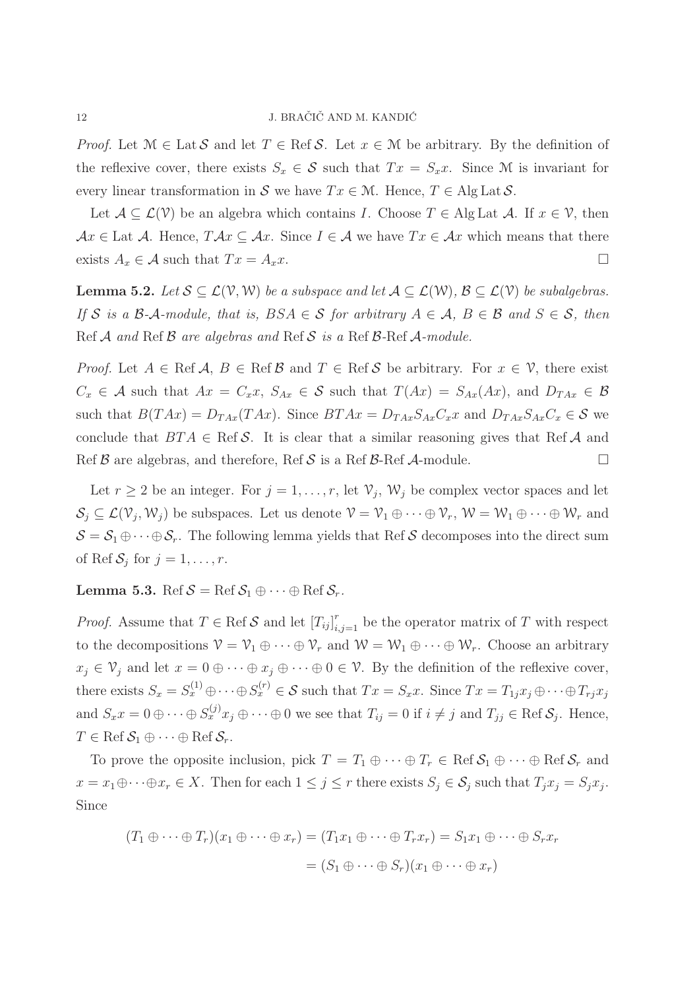*Proof.* Let  $\mathcal{M} \in \text{Lat } \mathcal{S}$  and let  $T \in \text{Ref } \mathcal{S}$ . Let  $x \in \mathcal{M}$  be arbitrary. By the definition of the reflexive cover, there exists  $S_x \in \mathcal{S}$  such that  $Tx = S_x x$ . Since M is invariant for every linear transformation in S we have  $Tx \in \mathcal{M}$ . Hence,  $T \in \text{Alg} \text{Lat } \mathcal{S}$ .

Let  $\mathcal{A} \subseteq \mathcal{L}(\mathcal{V})$  be an algebra which contains I. Choose  $T \in \mathcal{A}$  lg Lat  $\mathcal{A}$ . If  $x \in \mathcal{V}$ , then  $Ax \in$  Lat A. Hence,  $T Ax \subseteq Ax$ . Since  $I \in \mathcal{A}$  we have  $Tx \in Ax$  which means that there exists  $A_x \in \mathcal{A}$  such that  $Tx = A_x x$ .

**Lemma 5.2.** Let  $S \subseteq \mathcal{L}(V, W)$  be a subspace and let  $A \subseteq \mathcal{L}(W)$ ,  $B \subseteq \mathcal{L}(V)$  be subalgebras. If S is a B-A-module, that is,  $BSA \in S$  for arbitrary  $A \in A$ ,  $B \in B$  and  $S \in S$ , then Ref  $A$  and Ref  $B$  are algebras and Ref  $S$  is a Ref  $B$ -Ref  $A$ -module.

*Proof.* Let  $A \in \text{Ref } A$ ,  $B \in \text{Ref } B$  and  $T \in \text{Ref } S$  be arbitrary. For  $x \in V$ , there exist  $C_x \in \mathcal{A}$  such that  $Ax = C_x x$ ,  $S_{Ax} \in \mathcal{S}$  such that  $T(Ax) = S_{Ax}(Ax)$ , and  $D_{TAx} \in \mathcal{B}$ such that  $B(TAx) = D_{TAx}(TAx)$ . Since  $BTAx = D_{TAx}S_{Ax}C_{x}x$  and  $D_{TAx}S_{Ax}C_{x} \in S$  we conclude that  $BTA \in \text{Ref } S$ . It is clear that a similar reasoning gives that Ref A and Ref  $\beta$  are algebras, and therefore, Ref  $\beta$  is a Ref  $\beta$ -Ref  $\mathcal A$ -module.

Let  $r \geq 2$  be an integer. For  $j = 1, \ldots, r$ , let  $\mathcal{V}_j$ ,  $\mathcal{W}_j$  be complex vector spaces and let  $S_j \subseteq \mathcal{L}(\mathcal{V}_j, \mathcal{W}_j)$  be subspaces. Let us denote  $\mathcal{V} = \mathcal{V}_1 \oplus \cdots \oplus \mathcal{V}_r$ ,  $\mathcal{W} = \mathcal{W}_1 \oplus \cdots \oplus \mathcal{W}_r$  and  $S = S_1 \oplus \cdots \oplus S_r$ . The following lemma yields that Ref S decomposes into the direct sum of Ref  $S_j$  for  $j = 1, \ldots, r$ .

**Lemma 5.3.** Ref  $S = \text{Ref } S_1 \oplus \cdots \oplus \text{Ref } S_r$ .

*Proof.* Assume that  $T \in \text{Ref } S$  and let  $[T_{ij}]_{i,j=1}^r$  be the operator matrix of T with respect to the decompositions  $V = V_1 \oplus \cdots \oplus V_r$  and  $W = W_1 \oplus \cdots \oplus W_r$ . Choose an arbitrary  $x_j \in \mathcal{V}_j$  and let  $x = 0 \oplus \cdots \oplus x_j \oplus \cdots \oplus 0 \in \mathcal{V}$ . By the definition of the reflexive cover, there exists  $S_x = S_x^{(1)} \oplus \cdots \oplus S_x^{(r)} \in \mathcal{S}$  such that  $Tx = S_x x$ . Since  $Tx = T_{1j}x_j \oplus \cdots \oplus T_{rj}x_j$ and  $S_x x = 0 \oplus \cdots \oplus S_x^{(j)} x_j \oplus \cdots \oplus 0$  we see that  $T_{ij} = 0$  if  $i \neq j$  and  $T_{jj} \in \text{Ref } S_j$ . Hence,  $T \in \text{Ref } \mathcal{S}_1 \oplus \cdots \oplus \text{Ref } \mathcal{S}_r.$ 

To prove the opposite inclusion, pick  $T = T_1 \oplus \cdots \oplus T_r \in \text{Ref } \mathcal{S}_1 \oplus \cdots \oplus \text{Ref } \mathcal{S}_r$  and  $x = x_1 \oplus \cdots \oplus x_r \in X$ . Then for each  $1 \leq j \leq r$  there exists  $S_j \in \mathcal{S}_j$  such that  $T_j x_j = S_j x_j$ . Since

$$
(T_1 \oplus \cdots \oplus T_r)(x_1 \oplus \cdots \oplus x_r) = (T_1x_1 \oplus \cdots \oplus T_rx_r) = S_1x_1 \oplus \cdots \oplus S_rx_r
$$

$$
= (S_1 \oplus \cdots \oplus S_r)(x_1 \oplus \cdots \oplus x_r)
$$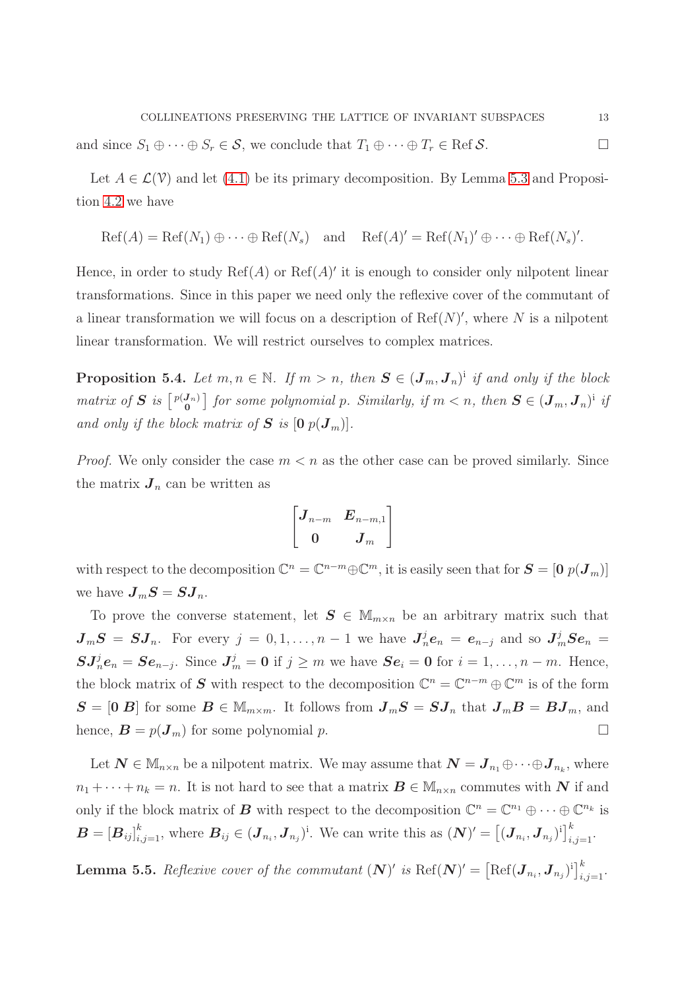and since  $S_1 \oplus \cdots \oplus S_r \in \mathcal{S}$ , we conclude that  $T_1 \oplus \cdots \oplus T_r \in \text{Ref } \mathcal{S}$ .

Let  $A \in \mathcal{L}(\mathcal{V})$  and let [\(4.1\)](#page-5-0) be its primary decomposition. By Lemma [5.3](#page-17-0) and Proposition [4.2](#page-16-0) we have

$$
Ref(A) = Ref(N_1) \oplus \cdots \oplus Ref(N_s)
$$
 and  $Ref(A)' = Ref(N_1)' \oplus \cdots \oplus Ref(N_s)'$ .

Hence, in order to study  $\text{Ref}(A)$  or  $\text{Ref}(A)'$  it is enough to consider only nilpotent linear transformations. Since in this paper we need only the reflexive cover of the commutant of a linear transformation we will focus on a description of  $\text{Ref}(N)'$ , where N is a nilpotent linear transformation. We will restrict ourselves to complex matrices.

**Proposition 5.4.** Let  $m, n \in \mathbb{N}$ . If  $m > n$ , then  $S \in (J_m, J_n)^i$  if and only if the block matrix of S is  $\left[\begin{array}{c}p(J_n)\\0\end{array}\right]$  for some polynomial p. Similarly, if  $m < n$ , then  $S \in (J_m, J_n)^i$  if and only if the block matrix of  $S$  is  $[0 \ p(\boldsymbol{J}_m)]$ .

*Proof.* We only consider the case  $m < n$  as the other case can be proved similarly. Since the matrix  $J_n$  can be written as

$$
\begin{bmatrix} \boldsymbol{J}_{n-m} & \boldsymbol{E}_{n-m,1} \\[1mm] \boldsymbol{0} & \boldsymbol{J}_{m} \end{bmatrix}
$$

with respect to the decomposition  $\mathbb{C}^n = \mathbb{C}^{n-m} \oplus \mathbb{C}^m$ , it is easily seen that for  $S = [0, p(J_m)]$ we have  $J_mS = SJ_n$ .

To prove the converse statement, let  $S \in M_{m \times n}$  be an arbitrary matrix such that  $J_mS = SJ_n$ . For every  $j = 0, 1, ..., n-1$  we have  $J_n^j e_n = e_{n-j}$  and so  $J_m^j Se_n =$  $\mathbf{S} \mathbf{J}_n^j \mathbf{e}_n = \mathbf{S} \mathbf{e}_{n-j}$ . Since  $\mathbf{J}_m^j = \mathbf{0}$  if  $j \geq m$  we have  $\mathbf{S} \mathbf{e}_i = \mathbf{0}$  for  $i = 1, \ldots, n-m$ . Hence, the block matrix of S with respect to the decomposition  $\mathbb{C}^n = \mathbb{C}^{n-m} \oplus \mathbb{C}^m$  is of the form  $S = [0 B]$  for some  $B \in \mathbb{M}_{m \times m}$ . It follows from  $J_mS = SJ_n$  that  $J_mB = BJ_m$ , and hence,  $\mathbf{B} = p(\mathbf{J}_m)$  for some polynomial p.

Let  $\mathbf{N} \in \mathbb{M}_{n \times n}$  be a nilpotent matrix. We may assume that  $\mathbf{N} = \mathbf{J}_{n_1} \oplus \cdots \oplus \mathbf{J}_{n_k}$ , where  $n_1 + \cdots + n_k = n$ . It is not hard to see that a matrix  $\mathbf{B} \in \mathbb{M}_{n \times n}$  commutes with N if and only if the block matrix of **B** with respect to the decomposition  $\mathbb{C}^n = \mathbb{C}^{n_1} \oplus \cdots \oplus \mathbb{C}^{n_k}$  is  $\boldsymbol{B} = [\boldsymbol{B}_{ij}]_{i,j=1}^k$ , where  $\boldsymbol{B}_{ij} \in (\boldsymbol{J}_{n_i}, \boldsymbol{J}_{n_j})^i$ . We can write this as  $(\boldsymbol{N})' = [(\boldsymbol{J}_{n_i}, \boldsymbol{J}_{n_j})^i]_{i,j=1}^k$ .

**Lemma 5.5.** Reflexive cover of the commutant  $(N)'$  is  $\text{Ref}(N)' = [\text{Ref}(J_{n_i}, J_{n_j})^i]_{i,j=1}^k$ .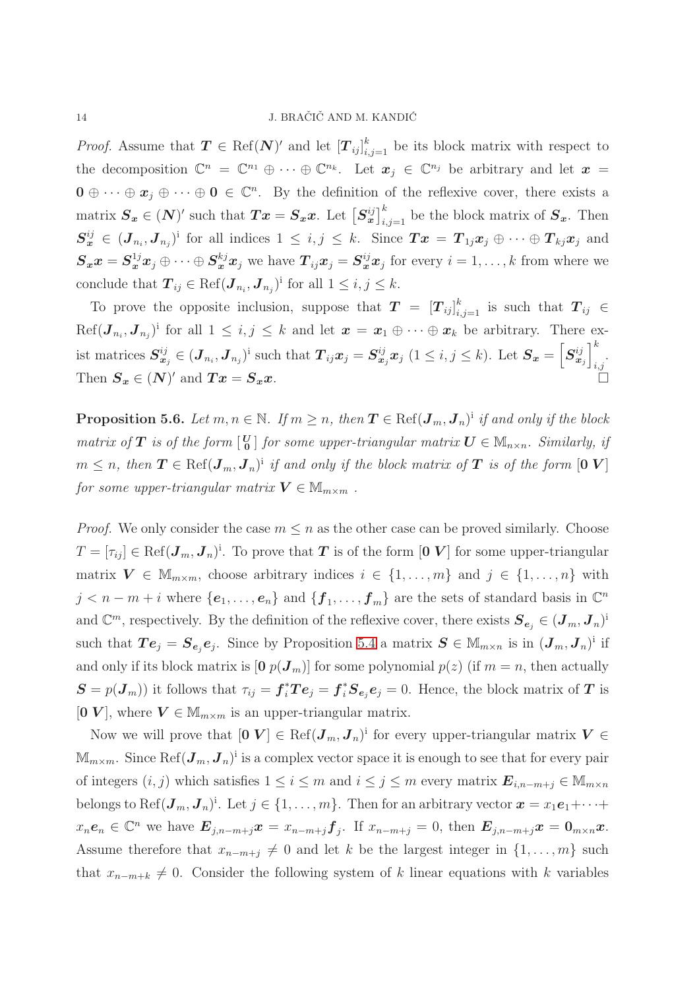*Proof.* Assume that  $T \in \text{Ref}(N)'$  and let  $[T_{ij}]_{i,j=1}^k$  be its block matrix with respect to the decomposition  $\mathbb{C}^n = \mathbb{C}^{n_1} \oplus \cdots \oplus \mathbb{C}^{n_k}$ . Let  $x_j \in \mathbb{C}^{n_j}$  be arbitrary and let  $x =$  $\mathbf{0} \oplus \cdots \oplus \mathbf{x}_j \oplus \cdots \oplus \mathbf{0} \in \mathbb{C}^n$ . By the definition of the reflexive cover, there exists a matrix  $S_x \in (N)'$  such that  $Tx = S_x x$ . Let  $[S_x^{ij}]_{i,j=1}^k$  be the block matrix of  $S_x$ . Then  $S_{\bm{x}}^{ij} \in (\bm{J}_{n_i}, \bm{J}_{n_j})^i$  for all indices  $1 \leq i, j \leq k$ . Since  $\bm{T}\bm{x} = \bm{T}_{1j}\bm{x}_j \oplus \cdots \oplus \bm{T}_{kj}\bm{x}_j$  and  $S_x x = S_x^{1j} x_j \oplus \cdots \oplus S_x^{kj} x_j$  we have  $T_{ij} x_j = S_x^{ij} x_j$  for every  $i = 1, \ldots, k$  from where we conclude that  $\boldsymbol{T}_{ij} \in \text{Ref}(\boldsymbol{J}_{n_i}, \boldsymbol{J}_{n_j})^{\text{i}}$  for all  $1 \leq i, j \leq k$ .

To prove the opposite inclusion, suppose that  $T = [T_{ij}]_{i,j=1}^k$  is such that  $T_{ij} \in$  $\text{Ref}(\bm{J}_{n_i}, \bm{J}_{n_j})^{\text{i}}$  for all  $1 \leq i, j \leq k$  and let  $\bm{x} = \bm{x}_1 \oplus \cdots \oplus \bm{x}_k$  be arbitrary. There exist matrices  $S_{x_j}^{ij} \in (J_{n_i}, J_{n_j})^i$  such that  $T_{ij}x_j = S_{x_j}^{ij}x_j$   $(1 \le i, j \le k)$ . Let  $S_x = \left[S_{x_j}^{ij}\right]$  $\mathcal{I}^k$ i,j . Then  $S_x \in (N)'$  and  $Tx = S_x x$ .

**Proposition 5.6.** Let  $m, n \in \mathbb{N}$ . If  $m \geq n$ , then  $T \in \text{Ref}(\mathbf{J}_m, \mathbf{J}_n)^{\text{i}}$  if and only if the block matrix of **T** is of the form  $\begin{bmatrix} \mathbf{U} \\ \mathbf{0} \end{bmatrix}$  for some upper-triangular matrix  $\mathbf{U} \in \mathbb{M}_{n \times n}$ . Similarly, if  $m \leq n$ , then  $T \in \text{Ref}(\bm{J}_m, \bm{J}_n)^{\text{i}}$  if and only if the block matrix of  $T$  is of the form  $[\bm{0} | \bm{V}]$ for some upper-triangular matrix  $V \in \mathbb{M}_{m \times m}$ .

*Proof.* We only consider the case  $m \leq n$  as the other case can be proved similarly. Choose  $T = [\tau_{ij}] \in \text{Ref}(\mathbf{J}_m, \mathbf{J}_n)^{\text{i}}$ . To prove that  $T$  is of the form  $[0, V]$  for some upper-triangular matrix  $V \in \mathbb{M}_{m \times m}$ , choose arbitrary indices  $i \in \{1, ..., m\}$  and  $j \in \{1, ..., n\}$  with  $j < n-m+i$  where  $\{e_1, \ldots, e_n\}$  and  $\{f_1, \ldots, f_m\}$  are the sets of standard basis in  $\mathbb{C}^n$ and  $\mathbb{C}^m$ , respectively. By the definition of the reflexive cover, there exists  $\boldsymbol{S}_{e_j} \in (\boldsymbol{J}_m, \boldsymbol{J}_n)^{\text{in}}$ such that  $Te_j = S_{e_j}e_j$ . Since by Proposition [5.4](#page-17-1) a matrix  $S \in M_{m \times n}$  is in  $(J_m, J_n)^i$  if and only if its block matrix is  $[0 \ p(\boldsymbol{J}_m)]$  for some polynomial  $p(z)$  (if  $m = n$ , then actually  $S = p(J_m)$  it follows that  $\tau_{ij} = f_i^* T e_j = f_i^* S_{e_j} e_j = 0$ . Hence, the block matrix of T is [0 V], where  $V \in \mathbb{M}_{m \times m}$  is an upper-triangular matrix.

Now we will prove that  $[0 V] \in \text{Ref}(\mathcal{J}_m, \mathcal{J}_n)^{\text{i}}$  for every upper-triangular matrix  $V \in$  $\mathbb{M}_{m\times m}$ . Since  $\mathrm{Ref}(\boldsymbol{J}_m, \boldsymbol{J}_n)^{\text{i}}$  is a complex vector space it is enough to see that for every pair of integers  $(i, j)$  which satisfies  $1 \leq i \leq m$  and  $i \leq j \leq m$  every matrix  $\mathbf{E}_{i,n-m+j} \in \mathbb{M}_{m \times n}$ belongs to Ref $(\mathbf{J}_m, \mathbf{J}_n)^{\text{i}}$ . Let  $j \in \{1, \ldots, m\}$ . Then for an arbitrary vector  $\boldsymbol{x} = x_1 \boldsymbol{e}_1 + \cdots +$  $x_n e_n \in \mathbb{C}^n$  we have  $E_{j,n-m+j}x = x_{n-m+j}f_j$ . If  $x_{n-m+j} = 0$ , then  $E_{j,n-m+j}x = 0$ <sub>m $\times n$ </sub>x. Assume therefore that  $x_{n-m+j} \neq 0$  and let k be the largest integer in  $\{1, \ldots, m\}$  such that  $x_{n-m+k} \neq 0$ . Consider the following system of k linear equations with k variables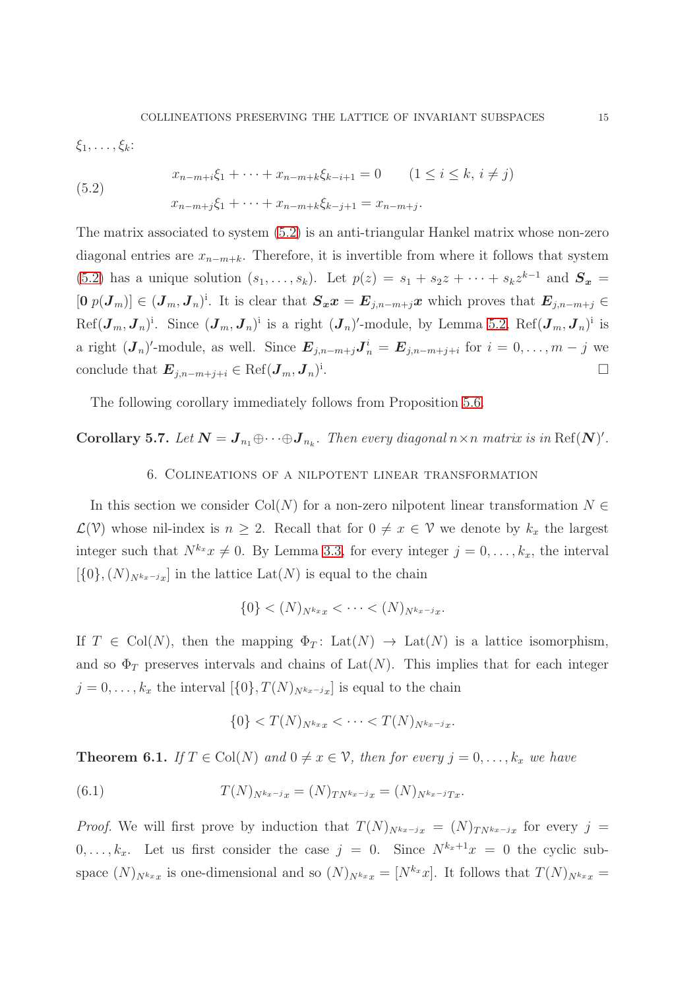$\xi_1, \ldots, \xi_k$ :

<span id="page-14-1"></span>(5.2) 
$$
x_{n-m+i}\xi_1 + \cdots + x_{n-m+k}\xi_{k-i+1} = 0 \qquad (1 \le i \le k, i \ne j)
$$

$$
x_{n-m+j}\xi_1 + \cdots + x_{n-m+k}\xi_{k-j+1} = x_{n-m+j}.
$$

The matrix associated to system [\(5.2\)](#page-14-1) is an anti-triangular Hankel matrix whose non-zero diagonal entries are  $x_{n-m+k}$ . Therefore, it is invertible from where it follows that system [\(5.2\)](#page-14-1) has a unique solution  $(s_1, \ldots, s_k)$ . Let  $p(z) = s_1 + s_2z + \cdots + s_kz^{k-1}$  and  $S_x =$  $[0 \, p(\boldsymbol{J}_m)] \in (\boldsymbol{J}_m, \boldsymbol{J}_n)^{\text{i}}$ . It is clear that  $\boldsymbol{S}_x x = \boldsymbol{E}_{j,n-m+j} x$  which proves that  $\boldsymbol{E}_{j,n-m+j} \in$  $\text{Ref}(\boldsymbol{J}_m, \boldsymbol{J}_n)^{\text{i}}$ . Since  $(\boldsymbol{J}_m, \boldsymbol{J}_n)^{\text{i}}$  is a right  $(\boldsymbol{J}_n)'$ -module, by Lemma [5.2,](#page-16-0)  $\text{Ref}(\boldsymbol{J}_m, \boldsymbol{J}_n)^{\text{i}}$  is a right  $(\mathbf{J}_n)'$ -module, as well. Since  $\mathbf{E}_{j,n-m+j}\mathbf{J}_n^i = \mathbf{E}_{j,n-m+j+i}$  for  $i = 0,\ldots,m-j$  we conclude that  $\boldsymbol{E}_{j,n-m+j+i} \in \operatorname{Ref}(\boldsymbol{J}_m, \boldsymbol{J}_n)^{\text{in}}$ .

The following corollary immediately follows from Proposition [5.6.](#page-18-1)

<span id="page-14-0"></span>Corollary 5.7. Let  $N = J_{n_1} \oplus \cdots \oplus J_{n_k}$ . Then every diagonal  $n \times n$  matrix is in Ref(N)'.

## 6. Colineations of a nilpotent linear transformation

In this section we consider Col(N) for a non-zero nilpotent linear transformation  $N \in$  $\mathcal{L}(\mathcal{V})$  whose nil-index is  $n \geq 2$ . Recall that for  $0 \neq x \in \mathcal{V}$  we denote by  $k_x$  the largest integer such that  $N^{k_x}x \neq 0$ . By Lemma [3.3,](#page-17-0) for every integer  $j = 0, \ldots, k_x$ , the interval  $[\{0\},(N)_{N^{k_x-j_x}}]$  in the lattice Lat $(N)$  is equal to the chain

$$
\{0\} < (N)_{N^{k_x}x} < \cdots < (N)_{N^{k_x-j}x}.
$$

If  $T \in \text{Col}(N)$ , then the mapping  $\Phi_T: \text{Lat}(N) \to \text{Lat}(N)$  is a lattice isomorphism, and so  $\Phi_T$  preserves intervals and chains of Lat(N). This implies that for each integer  $j = 0, \ldots, k_x$  the interval  $[\{0\}, T(N)_{N^{k_x-j}x}]$  is equal to the chain

<span id="page-14-2"></span>
$$
\{0\} < T(N)_{N^{k_x}x} < \cdots < T(N)_{N^{k_x-j}x}.
$$

**Theorem 6.1.** If  $T \in \text{Col}(N)$  and  $0 \neq x \in \mathcal{V}$ , then for every  $j = 0, \ldots, k_x$  we have

(6.1) 
$$
T(N)_{N^{k_x-j}x} = (N)_{TN^{k_x-j}x} = (N)_{N^{k_x-j}Tx}.
$$

*Proof.* We will first prove by induction that  $T(N)_{N^{k_x-j_x}} = (N)_{TN^{k_x-j_x}}$  for every j =  $0, \ldots, k_x$ . Let us first consider the case  $j = 0$ . Since  $N^{k_x+1}x = 0$  the cyclic subspace  $(N)_{N^{k_x}x}$  is one-dimensional and so  $(N)_{N^{k_x}x} = [N^{k_x}x]$ . It follows that  $T(N)_{N^{k_x}x} =$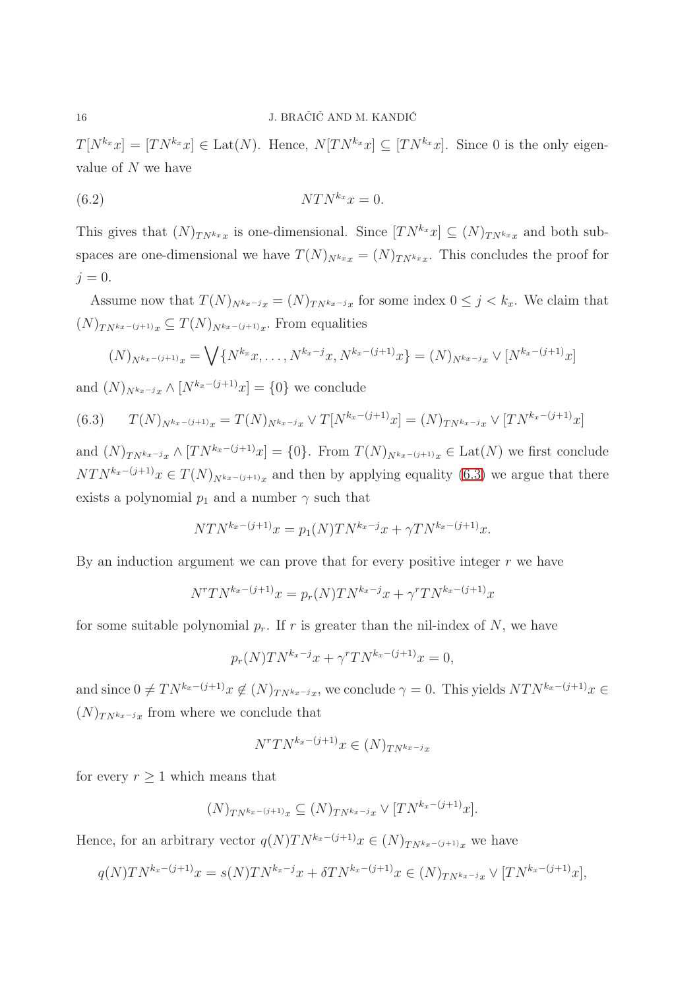$T[N^{k_x}x] = [TN^{k_x}x] \in \text{Lat}(N)$ . Hence,  $N[TN^{k_x}x] \subseteq [TN^{k_x}x]$ . Since 0 is the only eigenvalue of N we have

<span id="page-15-1"></span>
$$
(6.2) \t\t NTN^{k_x}x = 0.
$$

This gives that  $(N)_{TN^{k_x}x}$  is one-dimensional. Since  $[T N^{k_x} x] \subseteq (N)_{TN^{k_x}x}$  and both subspaces are one-dimensional we have  $T(N)_{N^{kx}x} = (N)_{TN^{kx}x}$ . This concludes the proof for  $i = 0$ .

Assume now that  $T(N)_{N^{k_x-j_x}} = (N)_{T N^{k_x-j_x}}$  for some index  $0 \le j \le k_x$ . We claim that  $(N)_{TN^{k_x-(j+1)}x} \subseteq T(N)_{N^{k_x-(j+1)}x}$ . From equalities

$$
(N)_{N^{k_x-(j+1)}x} = \bigvee \{N^{k_x}x, \ldots, N^{k_x-j}x, N^{k_x-(j+1)}x\} = (N)_{N^{k_x-j}x} \vee [N^{k_x-(j+1)}x]
$$

and  $(N)_{N^{k_x-j_x}} \wedge [N^{k_x-(j+1)}x] = \{0\}$  we conclude

<span id="page-15-0"></span>
$$
(6.3) \tT(N)_{N^{k_x-(j+1)}x} = T(N)_{N^{k_x-j}x} \vee T[N^{k_x-(j+1)}x] = (N)_{TN^{k_x-j}x} \vee [TN^{k_x-(j+1)}x]
$$

and  $(N)_{TN^{k_x-j_x}} \wedge [TN^{k_x-(j+1)}x] = \{0\}$ . From  $T(N)_{N^{k_x-(j+1)}x} \in \text{Lat}(N)$  we first conclude  $NTN^{k_x-(j+1)}x \in T(N)_{N^{k_x-(j+1)}x}$  and then by applying equality [\(6.3\)](#page-15-0) we argue that there exists a polynomial  $p_1$  and a number  $\gamma$  such that

$$
NTN^{k_x - (j+1)}x = p_1(N)TN^{k_x - j}x + \gamma TN^{k_x - (j+1)}x.
$$

By an induction argument we can prove that for every positive integer  $r$  we have

$$
N^{r}TN^{k_{x}-(j+1)}x = p_{r}(N)TN^{k_{x}-j}x + \gamma^{r}TN^{k_{x}-(j+1)}x
$$

for some suitable polynomial  $p_r$ . If r is greater than the nil-index of N, we have

$$
p_r(N)TN^{k_x-j}x + \gamma^r TN^{k_x-(j+1)}x = 0,
$$

and since  $0 \neq TN^{k_x-(j+1)}x \notin (N)_{TN^{k_x-j}x}$ , we conclude  $\gamma = 0$ . This yields  $NTN^{k_x-(j+1)}x \in$  $(N)$ <sub>TN<sup>kx−j</sup>x</sub> from where we conclude that

$$
N^rTN^{k_x-(j+1)}x \in (N)_{TN^{k_x-j}x}
$$

for every  $r \geq 1$  which means that

$$
(N)_{TN^{k_x-(j+1)}x} \subseteq (N)_{TN^{k_x-j}x} \vee [TN^{k_x-(j+1)}x].
$$

Hence, for an arbitrary vector  $q(N)TN^{k_x-(j+1)}x \in (N)_{TN^{k_x-(j+1)}x}$  we have

$$
q(N)TN^{k_x-(j+1)}x = s(N)TN^{k_x-j}x + \delta TN^{k_x-(j+1)}x \in (N)_{TN^{k_x-j}x} \vee [TN^{k_x-(j+1)}x],
$$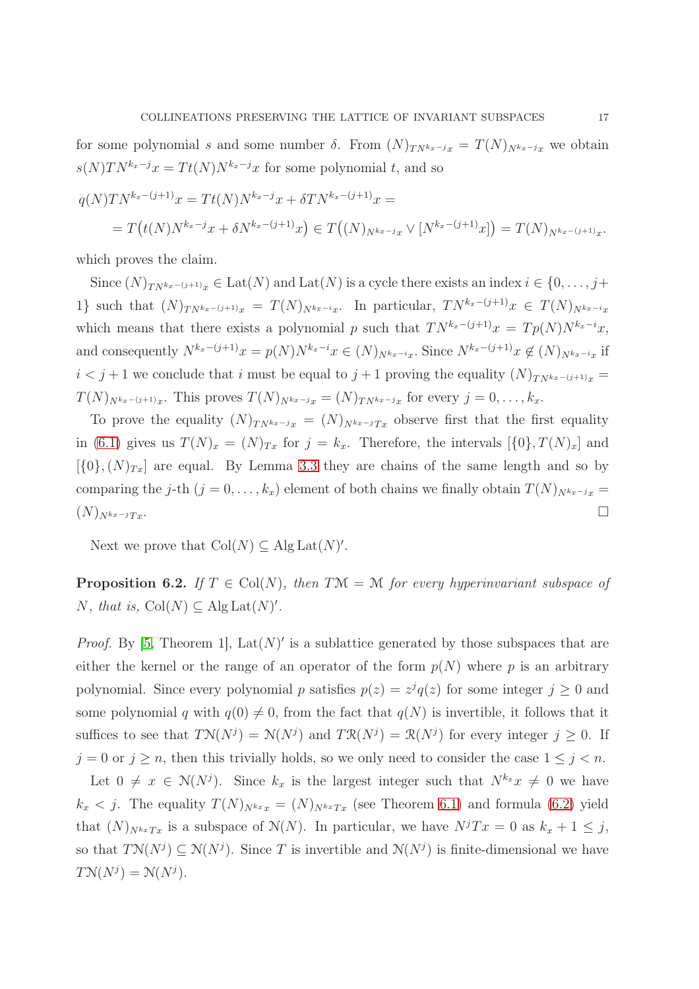for some polynomial s and some number  $\delta$ . From  $(N)_{TN^{k_x-j}x} = T(N)_{N^{k_x-j}x}$  we obtain  $s(N)TN^{k_x-j}x = Tt(N)N^{k_x-j}x$  for some polynomial t, and so

$$
q(N)TN^{k_x-(j+1)}x = Tt(N)N^{k_x-j}x + \delta TN^{k_x-(j+1)}x =
$$
  
=  $T(t(N)N^{k_x-j}x + \delta N^{k_x-(j+1)}x) \in T((N)_{N^{k_x-j}x} \vee [N^{k_x-(j+1)}x]) = T(N)_{N^{k_x-(j+1)}x}.$ 

which proves the claim.

Since  $(N)_{TN^{kx-(j+1)}x} \in \text{Lat}(N)$  and  $\text{Lat}(N)$  is a cycle there exists an index  $i \in \{0, \ldots, j+\}$ 1} such that  $(N)_{TN^{k_x-(j+1)}x} = T(N)_{N^{k_x-i}x}$ . In particular,  $TN^{k_x-(j+1)}x \in T(N)_{N^{k_x-i}x}$ which means that there exists a polynomial p such that  $TN^{k_x-(j+1)}x = Tp(N)N^{k_x-i}x$ , and consequently  $N^{k_x-(j+1)}x = p(N)N^{k_x-i}x \in (N)_{N^{k_x-i}x}$ . Since  $N^{k_x-(j+1)}x \notin (N)_{N^{k_x-i}x}$  if  $i < j+1$  we conclude that i must be equal to  $j+1$  proving the equality  $(N)_{TN^{k_x-(j+1)}x}$  $T(N)_{N^{k_x-(j+1)}x}$ . This proves  $T(N)_{N^{k_x-j}x} = (N)_{TN^{k_x-j}x}$  for every  $j = 0, \ldots, k_x$ .

To prove the equality  $(N)_{TN^{k_x-j}x} = (N)_{N^{k_x-j}Tx}$  observe first that the first equality in [\(6.1\)](#page-14-2) gives us  $T(N)_x = (N)_{Tx}$  for  $j = k_x$ . Therefore, the intervals  $[\{0\}, T(N)_x]$  and  $[\{0\},(N)_{Tx}]$  are equal. By Lemma [3.3](#page-17-0) they are chains of the same length and so by comparing the j-th  $(j = 0, ..., k_x)$  element of both chains we finally obtain  $T(N)_{N^{k_x-j_x}} =$  $(N)_{N^{kx-j}Tx}$ .

<span id="page-16-0"></span>Next we prove that  $Col(N) \subseteq Alg Lat(N)$ .

**Proposition 6.2.** If  $T \in Col(N)$ , then  $T\mathcal{M} = \mathcal{M}$  for every hyperinvariant subspace of N, that is,  $\text{Col}(N) \subseteq \text{Alg}\,\text{Lat}(N)'.$ 

*Proof.* By [\[5,](#page-24-4) Theorem 1],  $Lat(N)'$  is a sublattice generated by those subspaces that are either the kernel or the range of an operator of the form  $p(N)$  where p is an arbitrary polynomial. Since every polynomial p satisfies  $p(z) = z^{j}q(z)$  for some integer  $j \geq 0$  and some polynomial q with  $q(0) \neq 0$ , from the fact that  $q(N)$  is invertible, it follows that it suffices to see that  $T\mathcal{N}(N^j) = \mathcal{N}(N^j)$  and  $T\mathcal{R}(N^j) = \mathcal{R}(N^j)$  for every integer  $j \geq 0$ . If  $j = 0$  or  $j \geq n$ , then this trivially holds, so we only need to consider the case  $1 \leq j < n$ .

Let  $0 \neq x \in N(N^{j})$ . Since  $k_x$  is the largest integer such that  $N^{k_x}x \neq 0$  we have  $k_x < j$ . The equality  $T(N)_{N^k x x} = (N)_{N^k x T x}$  (see Theorem [6.1\)](#page-21-0) and formula [\(6.2\)](#page-15-1) yield that  $(N)_{N^{k_x}Tx}$  is a subspace of  $\mathcal{N}(N)$ . In particular, we have  $N^jTx = 0$  as  $k_x + 1 \leq j$ , so that  $T\mathcal{N}(N^j) \subseteq \mathcal{N}(N^j)$ . Since T is invertible and  $\mathcal{N}(N^j)$  is finite-dimensional we have  $T\mathcal{N}(N^j) = \mathcal{N}(N^j).$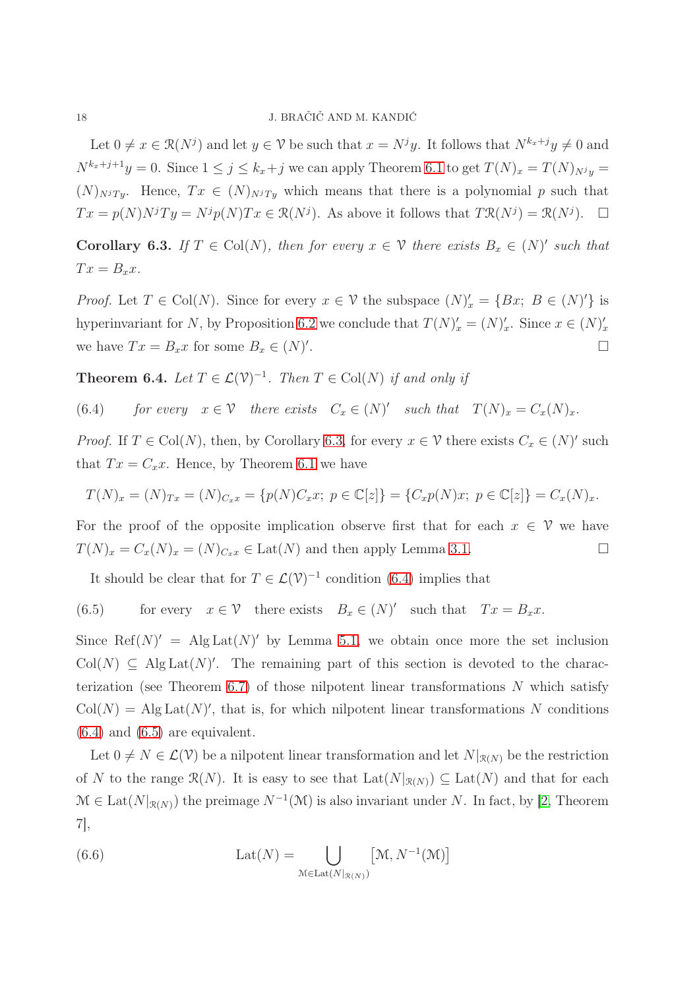Let  $0 \neq x \in \mathcal{R}(N^j)$  and let  $y \in \mathcal{V}$  be such that  $x = N^j y$ . It follows that  $N^{k_x+j} y \neq 0$  and  $N^{k_x+j+1}y = 0$ . Since  $1 \le j \le k_x+j$  we can apply Theorem [6.1](#page-21-0) to get  $T(N)_x = T(N)_{N^j}y =$  $(N)_{N}T_y$ . Hence,  $Tx \in (N)_{N}T_y$  which means that there is a polynomial p such that  $Tx = p(N)N^{j}Ty = N^{j}p(N)Tx \in \mathcal{R}(N^{j}).$  As above it follows that  $T\mathcal{R}(N^{j}) = \mathcal{R}(N^{j}).$   $\Box$ 

<span id="page-17-0"></span>**Corollary 6.3.** If  $T \in \text{Col}(N)$ , then for every  $x \in \mathcal{V}$  there exists  $B_x \in (N)'$  such that  $Tx = B_x x$ .

*Proof.* Let  $T \in \text{Col}(N)$ . Since for every  $x \in \mathcal{V}$  the subspace  $(N)'_x = \{Bx, B \in (N)'\}$  is hyperinvariant for N, by Proposition [6.2](#page-16-0) we conclude that  $T(N)'_x = (N)'_x$ . Since  $x \in (N)'_x$ we have  $Tx = B_x x$  for some  $B_x \in (N)'$ .

<span id="page-17-1"></span>**Theorem 6.4.** Let  $T \in \mathcal{L}(\mathcal{V})^{-1}$ . Then  $T \in \text{Col}(N)$  if and only if

<span id="page-17-2"></span>(6.4) for every 
$$
x \in V
$$
 there exists  $C_x \in (N)'$  such that  $T(N)_x = C_x(N)_x$ .

*Proof.* If  $T \in \text{Col}(N)$ , then, by Corollary [6.3,](#page-17-0) for every  $x \in \mathcal{V}$  there exists  $C_x \in (N)'$  such that  $Tx = C_x x$ . Hence, by Theorem [6.1](#page-21-0) we have

$$
T(N)_x = (N)_{Tx} = (N)_{C_x x} = \{p(N)C_x x; \ p \in \mathbb{C}[z]\} = \{C_x p(N)x; \ p \in \mathbb{C}[z]\} = C_x(N)_x.
$$

For the proof of the opposite implication observe first that for each  $x \in \mathcal{V}$  we have  $T(N)_x = C_x(N)_x = (N)_{C_x} \in \text{Lat}(N)$  and then apply Lemma [3.1.](#page-21-0)

<span id="page-17-3"></span>It should be clear that for  $T \in \mathcal{L}(\mathcal{V})^{-1}$  condition [\(6.4\)](#page-17-2) implies that

(6.5) for every  $x \in \mathcal{V}$  there exists  $B_x \in (N)'$  such that  $Tx = B_x x$ .

Since Ref(N)' = Alg Lat(N)' by Lemma [5.1,](#page-21-0) we obtain once more the set inclusion  $Col(N) \subseteq AlgLat(N)'$ . The remaining part of this section is devoted to the charac-terization (see Theorem [6.7\)](#page-19-0) of those nilpotent linear transformations  $N$  which satisfy  $Col(N) = Alg Lat(N)$ , that is, for which nilpotent linear transformations N conditions  $(6.4)$  and  $(6.5)$  are equivalent.

Let  $0 \neq N \in \mathcal{L}(\mathcal{V})$  be a nilpotent linear transformation and let  $N|_{\mathcal{R}(N)}$  be the restriction of N to the range  $\mathcal{R}(N)$ . It is easy to see that  $\text{Lat}(N|_{\mathcal{R}(N)}) \subseteq \text{Lat}(N)$  and that for each  $\mathcal{M} \in \text{Lat}(N|_{\mathcal{R}(N)})$  the preimage  $N^{-1}(\mathcal{M})$  is also invariant under N. In fact, by [\[2,](#page-24-3) Theorem 7],

<span id="page-17-4"></span>(6.6) 
$$
Lat(N) = \bigcup_{\mathcal{M} \in Lat(N|_{\mathcal{R}(N)})} [\mathcal{M}, N^{-1}(\mathcal{M})]
$$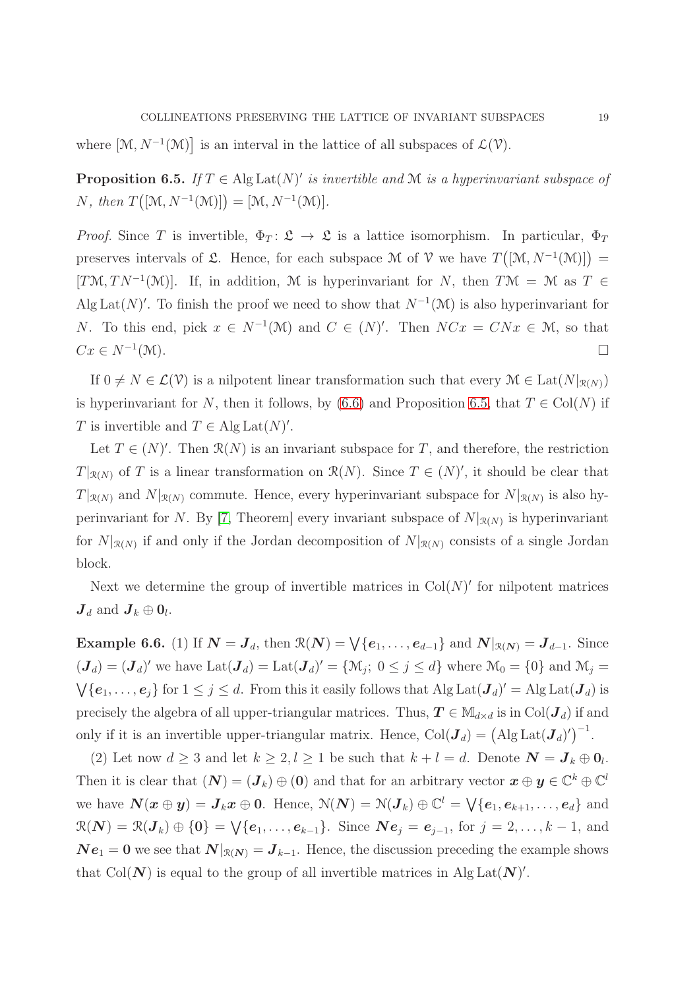<span id="page-18-0"></span>where  $[\mathcal{M}, N^{-1}(\mathcal{M})]$  is an interval in the lattice of all subspaces of  $\mathcal{L}(\mathcal{V})$ .

**Proposition 6.5.** If  $T \in \text{Alg}\text{Lat}(N)'$  is invertible and M is a hyperinvariant subspace of N, then  $T([M, N^{-1}(M)]) = [M, N^{-1}(M)].$ 

*Proof.* Since T is invertible,  $\Phi_T: \mathfrak{L} \to \mathfrak{L}$  is a lattice isomorphism. In particular,  $\Phi_T$ preserves intervals of  $\mathfrak{L}$ . Hence, for each subspace M of V we have  $T([M, N^{-1}(M)])$  = [TM, TN<sup>-1</sup>(M)]. If, in addition, M is hyperinvariant for N, then TM = M as T  $\in$ Alg Lat(N)'. To finish the proof we need to show that  $N^{-1}(\mathcal{M})$  is also hyperinvariant for N. To this end, pick  $x \in N^{-1}(\mathcal{M})$  and  $C \in (N)'$ . Then  $NCx = CNx \in \mathcal{M}$ , so that  $Cx \in N^{-1}(\mathcal{M}).$  $(\mathcal{M}).$ 

If  $0 \neq N \in \mathcal{L}(\mathcal{V})$  is a nilpotent linear transformation such that every  $\mathcal{M} \in \text{Lat}(N|_{\mathcal{R}(N)})$ is hyperinvariant for N, then it follows, by [\(6.6\)](#page-17-4) and Proposition [6.5,](#page-18-0) that  $T \in Col(N)$  if T is invertible and  $T \in \text{Alg}\, \text{Lat}(N)'.$ 

Let  $T \in (N)'$ . Then  $\mathcal{R}(N)$  is an invariant subspace for T, and therefore, the restriction  $T|_{\mathcal{R}(N)}$  of T is a linear transformation on  $\mathcal{R}(N)$ . Since  $T \in (N)'$ , it should be clear that  $T|_{\mathcal{R}(N)}$  and  $N|_{\mathcal{R}(N)}$  commute. Hence, every hyperinvariant subspace for  $N|_{\mathcal{R}(N)}$  is also hy-perinvariant for N. By [\[7,](#page-24-6) Theorem] every invariant subspace of  $N|_{\mathcal{R}(N)}$  is hyperinvariant for  $N|_{\mathcal{R}(N)}$  if and only if the Jordan decomposition of  $N|_{\mathcal{R}(N)}$  consists of a single Jordan block.

<span id="page-18-1"></span>Next we determine the group of invertible matrices in  $Col(N)'$  for nilpotent matrices  $J_d$  and  $J_k \oplus 0_l$ .

**Example 6.6.** (1) If  $N = J_d$ , then  $\mathcal{R}(N) = \bigvee \{e_1, \ldots, e_{d-1}\}\$  and  $N|_{\mathcal{R}(N)} = J_{d-1}$ . Since  $(\mathbf{J}_d) = (\mathbf{J}_d)'$  we have  $\text{Lat}(\mathbf{J}_d) = \text{Lat}(\mathbf{J}_d)' = \{ \mathcal{M}_j : 0 \leq j \leq d \}$  where  $\mathcal{M}_0 = \{0\}$  and  $\mathcal{M}_j =$  $\bigvee \{e_1,\ldots,e_j\}$  for  $1 \leq j \leq d$ . From this it easily follows that Alg Lat $(\mathbf{J}_d)' = \text{Alg} \text{Lat}(\mathbf{J}_d)$  is precisely the algebra of all upper-triangular matrices. Thus,  $T \in M_{d \times d}$  is in Col( $J_d$ ) if and only if it is an invertible upper-triangular matrix. Hence,  $Col(\mathbf{J}_d) = (\text{Alg} \, \text{Lat}(\mathbf{J}_d))^{-1}$ .

(2) Let now  $d \geq 3$  and let  $k \geq 2, l \geq 1$  be such that  $k + l = d$ . Denote  $\mathbf{N} = \mathbf{J}_k \oplus \mathbf{0}_l$ . Then it is clear that  $(N) = (J_k) \oplus (0)$  and that for an arbitrary vector  $x \oplus y \in \mathbb{C}^k \oplus \mathbb{C}^l$ we have  $\mathbf{N}(\boldsymbol{x} \oplus \boldsymbol{y}) = \boldsymbol{J}_k \boldsymbol{x} \oplus \boldsymbol{0}$ . Hence,  $\mathcal{N}(\boldsymbol{N}) = \mathcal{N}(\boldsymbol{J}_k) \oplus \mathbb{C}^l = \bigvee \{\boldsymbol{e}_1, \boldsymbol{e}_{k+1}, \ldots, \boldsymbol{e}_d\}$  and  $\mathcal{R}(N) = \mathcal{R}(J_k) \oplus \{0\} = \bigvee \{e_1, \ldots, e_{k-1}\}.$  Since  $N e_j = e_{j-1}$ , for  $j = 2, \ldots, k-1$ , and  $N e_1 = 0$  we see that  $N|_{\mathcal{R}(N)} = J_{k-1}$ . Hence, the discussion preceding the example shows that Col(N) is equal to the group of all invertible matrices in Alg Lat(N)'.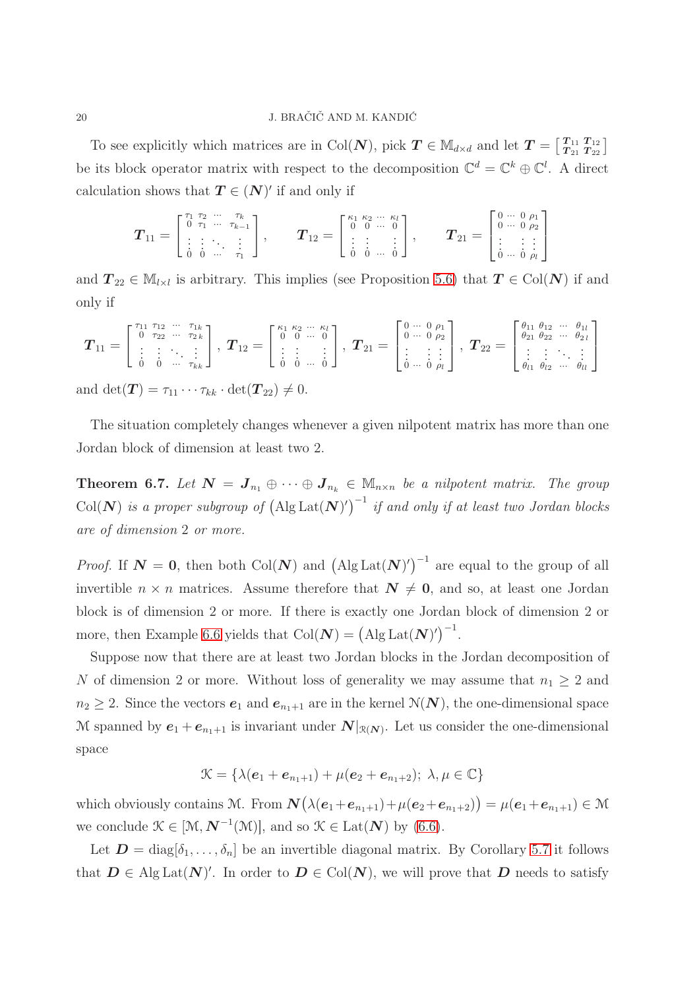To see explicitly which matrices are in Col(N), pick  $T \in \mathbb{M}_{d \times d}$  and let  $T = \begin{bmatrix} T_{11} & T_{12} \\ T_{21} & T_{22} \end{bmatrix}$  $\frac{T_{11}}{T_{21}}\frac{T_{12}}{T_{22}}\Big]$ be its block operator matrix with respect to the decomposition  $\mathbb{C}^d = \mathbb{C}^k \oplus \mathbb{C}^l$ . A direct calculation shows that  $T \in (N)'$  if and only if

$$
\boldsymbol{T}_{11} = \begin{bmatrix} \begin{smallmatrix} \tau_1 & \tau_2 & \cdots & \tau_k \\ 0 & \tau_1 & \cdots & \tau_{k-1} \\ \vdots & \vdots & \ddots & \vdots \\ 0 & 0 & \cdots & \tau_1 \end{smallmatrix} \end{bmatrix}, \qquad \boldsymbol{T}_{12} = \begin{bmatrix} \begin{smallmatrix} \kappa_1 & \kappa_2 & \cdots & \kappa_l \\ 0 & 0 & \cdots & 0 \\ \vdots & \vdots & \vdots \\ 0 & 0 & \cdots & 0 \end{smallmatrix} \end{bmatrix}, \qquad \boldsymbol{T}_{21} = \begin{bmatrix} 0 & \cdots & 0 & \rho_1 \\ 0 & \cdots & 0 & \rho_2 \\ \vdots & \vdots & \vdots \\ 0 & \cdots & 0 & \rho_l \end{bmatrix}
$$

and  $T_{22} \in M_{l \times l}$  is arbitrary. This implies (see Proposition [5.6\)](#page-18-1) that  $T \in Col(N)$  if and only if

$$
\boldsymbol{T}_{11} = \begin{bmatrix} \tau_{11} & \tau_{12} & \cdots & \tau_{1k} \\ 0 & \tau_{22} & \cdots & \tau_{2k} \\ \vdots & \vdots & \ddots & \vdots \\ 0 & 0 & \cdots & \tau_{kk} \end{bmatrix}, \ \boldsymbol{T}_{12} = \begin{bmatrix} \kappa_{1} & \kappa_{2} & \cdots & \kappa_{l} \\ 0 & 0 & \cdots & 0 \\ \vdots & \vdots & & \vdots \\ 0 & 0 & \cdots & 0 \end{bmatrix}, \ \boldsymbol{T}_{21} = \begin{bmatrix} 0 & \cdots & 0 & \rho_{1} \\ 0 & \cdots & 0 & \rho_{2} \\ \vdots & & \vdots & \vdots \\ 0 & \cdots & 0 & \rho_{l} \end{bmatrix}, \ \boldsymbol{T}_{22} = \begin{bmatrix} \theta_{11} & \theta_{12} & \cdots & \theta_{1l} \\ \theta_{21} & \theta_{22} & \cdots & \theta_{2l} \\ \vdots & & \vdots & \ddots & \vdots \\ \theta_{l1} & \theta_{l2} & \cdots & \theta_{ll} \end{bmatrix}
$$

and  $\det(\mathbf{T}) = \tau_{11} \cdots \tau_{kk} \cdot \det(\mathbf{T}_{22}) \neq 0.$ 

<span id="page-19-0"></span>The situation completely changes whenever a given nilpotent matrix has more than one Jordan block of dimension at least two 2.

**Theorem 6.7.** Let  $N = J_{n_1} \oplus \cdots \oplus J_{n_k} \in M_{n \times n}$  be a nilpotent matrix. The group  $\text{Col}(\boldsymbol{N})$  is a proper subgroup of  $(\text{Alg}\text{Lat}(\boldsymbol{N})')^{-1}$  if and only if at least two Jordan blocks are of dimension 2 or more.

*Proof.* If  $N = 0$ , then both Col(N) and  $(\text{Alg Lat}(N)')^{-1}$  are equal to the group of all invertible  $n \times n$  matrices. Assume therefore that  $N \neq 0$ , and so, at least one Jordan block is of dimension 2 or more. If there is exactly one Jordan block of dimension 2 or more, then Example [6.6](#page-18-1) yields that  $Col(N) = (Alg Lat(N)')^{-1}$ .

Suppose now that there are at least two Jordan blocks in the Jordan decomposition of N of dimension 2 or more. Without loss of generality we may assume that  $n_1 \geq 2$  and  $n_2 \geq 2$ . Since the vectors  $e_1$  and  $e_{n_1+1}$  are in the kernel  $\mathcal{N}(\mathbf{N})$ , the one-dimensional space M spanned by  $e_1 + e_{n_1+1}$  is invariant under  $N|_{\mathcal{R}(N)}$ . Let us consider the one-dimensional space

$$
\mathcal{K} = \{ \lambda(\boldsymbol{e}_1 + \boldsymbol{e}_{n_1+1}) + \mu(\boldsymbol{e}_2 + \boldsymbol{e}_{n_1+2}); \ \lambda, \mu \in \mathbb{C} \}
$$

which obviously contains M. From  $\mathbf{N}(\lambda(\mathbf{e}_1+\mathbf{e}_{n_1+1})+\mu(\mathbf{e}_2+\mathbf{e}_{n_1+2}))=\mu(\mathbf{e}_1+\mathbf{e}_{n_1+1})\in \mathcal{M}$ we conclude  $\mathcal{K} \in [\mathcal{M}, \mathbf{N}^{-1}(\mathcal{M})]$ , and so  $\mathcal{K} \in \text{Lat}(\mathbf{N})$  by [\(6.6\)](#page-17-4).

Let  $\mathbf{D} = \text{diag}[\delta_1, \ldots, \delta_n]$  be an invertible diagonal matrix. By Corollary [5.7](#page-19-0) it follows that  $D \in Alg Lat(N)'$ . In order to  $D \in Col(N)$ , we will prove that D needs to satisfy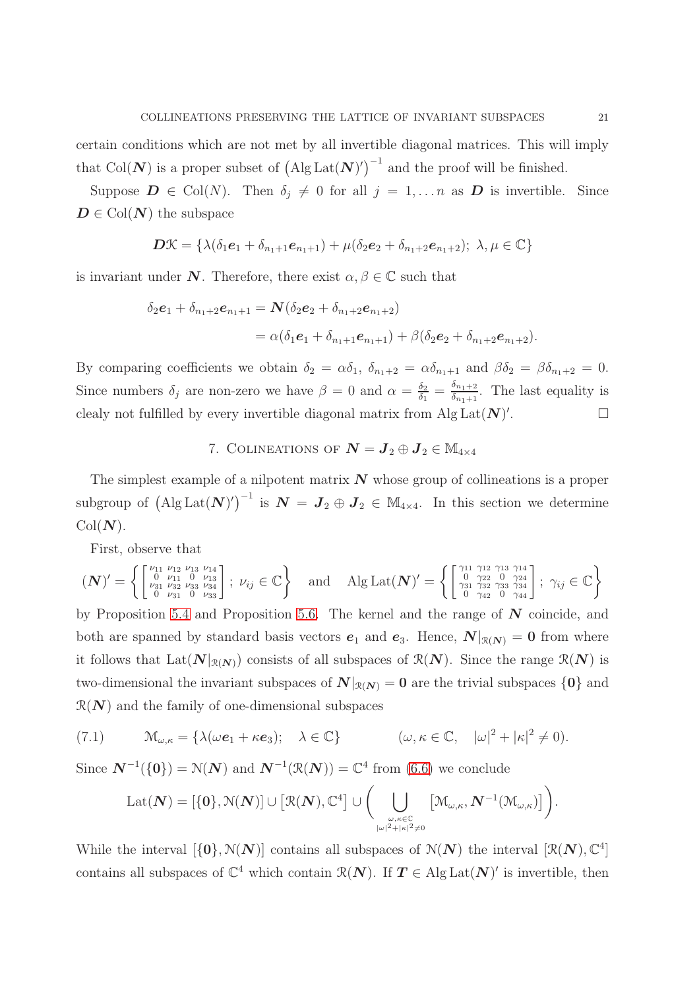certain conditions which are not met by all invertible diagonal matrices. This will imply that Col(N) is a proper subset of  $(\text{Alg} \text{Lat}(N))^{-1}$  and the proof will be finished.

Suppose  $\mathbf{D} \in \text{Col}(N)$ . Then  $\delta_j \neq 0$  for all  $j = 1, \ldots n$  as  $\mathbf{D}$  is invertible. Since  $D \in \text{Col}(N)$  the subspace

$$
\boldsymbol{D\mathcal{K}}=\{\lambda(\delta_1\boldsymbol{e}_1+\delta_{n_1+1}\boldsymbol{e}_{n_1+1})+\mu(\delta_2\boldsymbol{e}_2+\delta_{n_1+2}\boldsymbol{e}_{n_1+2});\ \lambda,\mu\in\mathbb{C}\}
$$

is invariant under N. Therefore, there exist  $\alpha, \beta \in \mathbb{C}$  such that

$$
\delta_2 e_1 + \delta_{n_1+2} e_{n_1+1} = \mathbf{N} (\delta_2 e_2 + \delta_{n_1+2} e_{n_1+2})
$$
  
=  $\alpha (\delta_1 e_1 + \delta_{n_1+1} e_{n_1+1}) + \beta (\delta_2 e_2 + \delta_{n_1+2} e_{n_1+2}).$ 

By comparing coefficients we obtain  $\delta_2 = \alpha \delta_1$ ,  $\delta_{n_1+2} = \alpha \delta_{n_1+1}$  and  $\beta \delta_2 = \beta \delta_{n_1+2} = 0$ . Since numbers  $\delta_j$  are non-zero we have  $\beta = 0$  and  $\alpha = \frac{\delta_2}{\delta_1}$  $\frac{\delta_2}{\delta_1} = \frac{\delta_{n_1+2}}{\delta_{n_1+1}}$  $\frac{\delta n_1+2}{\delta n_1+1}$ . The last equality is clealy not fulfilled by every invertible diagonal matrix from  $\text{Alg}\, \text{Lat}(\mathbf{N})'$ . — Первый проста в сервести в сервести в сервести в сервести в сервести в сервести в сервести в сервести в се<br>В сервести в сервести в сервести в сервести в сервести в сервести в сервести в сервести в сервести в сервести<br>

# 7. COLINEATIONS OF  $N = J_2 \oplus J_2 \in \mathbb{M}_{4 \times 4}$

The simplest example of a nilpotent matrix  $N$  whose group of collineations is a proper subgroup of  $({\rm Alg Lat}(\boldsymbol{N})')^{-1}$  is  $\boldsymbol{N} = \boldsymbol{J}_2 \oplus \boldsymbol{J}_2 \in \mathbb{M}_{4 \times 4}$ . In this section we determine  $Col(N)$ .

First, observe that

$$
(\mathbf{N})' = \left\{ \begin{bmatrix} \nu_{11} & \nu_{12} & \nu_{13} & \nu_{14} \\ 0 & \nu_{11} & 0 & \nu_{13} \\ \nu_{31} & \nu_{32} & \nu_{33} & \nu_{34} \\ 0 & \nu_{31} & 0 & \nu_{33} \end{bmatrix}; \ \nu_{ij} \in \mathbb{C} \right\} \text{ and } \text{Alg} \text{Lat}(\mathbf{N})' = \left\{ \begin{bmatrix} \gamma_{11} & \gamma_{12} & \gamma_{13} & \gamma_{14} \\ 0 & \gamma_{22} & 0 & \gamma_{24} \\ \gamma_{31} & \gamma_{32} & \gamma_{33} & \gamma_{34} \\ 0 & \gamma_{42} & 0 & \gamma_{44} \end{bmatrix}; \ \gamma_{ij} \in \mathbb{C} \right\}
$$

by Proposition [5.4](#page-17-1) and Proposition [5.6.](#page-18-1) The kernel and the range of  $N$  coincide, and both are spanned by standard basis vectors  $e_1$  and  $e_3$ . Hence,  $N|_{\mathcal{R}(N)} = 0$  from where it follows that  $\text{Lat}(\mathbf{N}|_{\mathcal{R}(\mathbf{N})})$  consists of all subspaces of  $\mathcal{R}(\mathbf{N})$ . Since the range  $\mathcal{R}(\mathbf{N})$  is two-dimensional the invariant subspaces of  $N|_{\mathcal{R}(N)} = 0$  are the trivial subspaces  $\{0\}$  and  $\mathcal{R}(N)$  and the family of one-dimensional subspaces

(7.1) 
$$
\mathcal{M}_{\omega,\kappa} = \{ \lambda(\omega \mathbf{e}_1 + \kappa \mathbf{e}_3); \quad \lambda \in \mathbb{C} \} \qquad (\omega, \kappa \in \mathbb{C}, \quad |\omega|^2 + |\kappa|^2 \neq 0).
$$

Since  $N^{-1}(\{0\}) = \mathcal{N}(N)$  and  $N^{-1}(\mathcal{R}(N)) = \mathbb{C}^4$  from [\(6.6\)](#page-17-4) we conclude

$$
\mathrm{Lat}(\mathcal{\bm{N}})=[\{\bm{0}\},\mathcal{N}(\mathcal{\bm{N}})]\cup\big[\mathcal{R}(\mathcal{\bm{N}}),\mathbb{C}^4\big]\cup\bigg(\bigcup_{\omega,\kappa\in\mathbb{C}\atop|\omega|^2+|\kappa|^2\neq0}\big[\mathcal{M}_{\omega,\kappa},\mathcal{\bm{N}}^{-1}(\mathcal{M}_{\omega,\kappa})\big]\bigg).
$$

While the interval  $[\{0\}, \mathcal{N}(N)]$  contains all subspaces of  $\mathcal{N}(N)$  the interval  $[\mathcal{R}(N), \mathbb{C}^4]$ contains all subspaces of  $\mathbb{C}^4$  which contain  $\mathcal{R}(N)$ . If  $T \in \text{Alg}\, \text{Lat}(N)'$  is invertible, then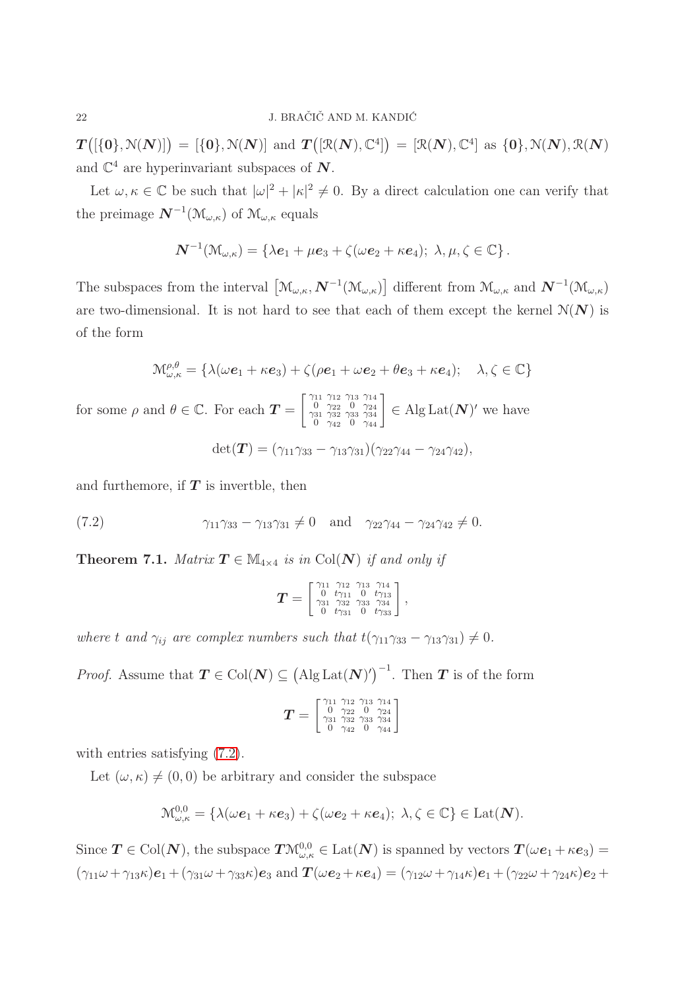$T\big([\{0\}, \mathcal{N}(N)]\big) = [\{0\}, \mathcal{N}(N)]$  and  $T\big([\mathcal{R}(N), \mathbb{C}^4]\big) = [\mathcal{R}(N), \mathbb{C}^4]$  as  $\{0\}, \mathcal{N}(N), \mathcal{R}(N)$ and  $\mathbb{C}^4$  are hyperinvariant subspaces of  $N$ .

Let  $\omega, \kappa \in \mathbb{C}$  be such that  $|\omega|^2 + |\kappa|^2 \neq 0$ . By a direct calculation one can verify that the preimage  $N^{-1}(\mathcal{M}_{\omega,\kappa})$  of  $\mathcal{M}_{\omega,\kappa}$  equals

$$
\boldsymbol{N}^{-1}(\mathcal{M}_{\omega,\kappa})=\left\{\lambda\boldsymbol{e}_1+\mu\boldsymbol{e}_3+\zeta(\omega\boldsymbol{e}_2+\kappa\boldsymbol{e}_4);~\lambda,\mu,\zeta\in\mathbb{C}\right\}.
$$

The subspaces from the interval  $\left[\mathcal{M}_{\omega,\kappa},\boldsymbol{N}^{-1}(\mathcal{M}_{\omega,\kappa})\right]$  different from  $\mathcal{M}_{\omega,\kappa}$  and  $\boldsymbol{N}^{-1}(\mathcal{M}_{\omega,\kappa})$ are two-dimensional. It is not hard to see that each of them except the kernel  $\mathcal{N}(N)$  is of the form

$$
\mathcal{M}_{\omega,\kappa}^{\rho,\theta} = \{ \lambda(\omega \boldsymbol{e}_1 + \kappa \boldsymbol{e}_3) + \zeta(\rho \boldsymbol{e}_1 + \omega \boldsymbol{e}_2 + \theta \boldsymbol{e}_3 + \kappa \boldsymbol{e}_4); \quad \lambda, \zeta \in \mathbb{C} \}
$$

for some  $\rho$  and  $\theta \in \mathbb{C}$ . For each  $\mathbf{T} =$  $\begin{bmatrix} \gamma_{11} & \gamma_{12} & \gamma_{13} & \gamma_{14} \\ 0 & \gamma_{22} & 0 & \gamma_{24} \\ \gamma_{31} & \gamma_{32} & \gamma_{33} & \gamma_{34} \end{bmatrix}$ (11 712 713 714<br>
0 722 0 724<br>
31 732 733 734<br>
0 742 0 744  $\in$  Alg Lat $(N)'$  we have

<span id="page-21-1"></span>
$$
\det(\boldsymbol{T}) = (\gamma_{11}\gamma_{33} - \gamma_{13}\gamma_{31})(\gamma_{22}\gamma_{44} - \gamma_{24}\gamma_{42}),
$$

and furthemore, if  $T$  is invertble, then

<span id="page-21-0"></span>(7.2) 
$$
\gamma_{11}\gamma_{33} - \gamma_{13}\gamma_{31} \neq 0
$$
 and  $\gamma_{22}\gamma_{44} - \gamma_{24}\gamma_{42} \neq 0$ .

**Theorem 7.1.** Matrix  $T \in M_{4\times 4}$  is in Col(N) if and only if

$$
\bm{T} = \left[ \begin{smallmatrix} \gamma_{11} & \gamma_{12} & \gamma_{13} & \gamma_{14} \\ 0 & t\gamma_{11} & 0 & t\gamma_{13} \\ \gamma_{31} & \gamma_{32} & \gamma_{33} & \gamma_{34} \\ 0 & t\gamma_{31} & 0 & t\gamma_{33} \end{smallmatrix} \right]
$$

,

where t and  $\gamma_{ij}$  are complex numbers such that  $t(\gamma_{11}\gamma_{33} - \gamma_{13}\gamma_{31}) \neq 0$ .

*Proof.* Assume that  $T \in Col(N) \subseteq (Alg Lat(N)')^{-1}$ . Then T is of the form

$$
T=\left[\begin{smallmatrix}\gamma_{11}&\gamma_{12}&\gamma_{13}&\gamma_{14}\\0&\gamma_{22}&0&\gamma_{24}\\ \gamma_{31}&\gamma_{32}&\gamma_{33}&\gamma_{34}\\0&\gamma_{42}&0&\gamma_{44}\end{smallmatrix}\right]
$$

with entries satisfying  $(7.2)$ .

Let  $(\omega, \kappa) \neq (0, 0)$  be arbitrary and consider the subspace

$$
\mathcal{M}^{0,0}_{\omega,\kappa} = \{ \lambda(\omega \mathbf{e}_1 + \kappa \mathbf{e}_3) + \zeta(\omega \mathbf{e}_2 + \kappa \mathbf{e}_4); \lambda, \zeta \in \mathbb{C} \} \in \text{Lat}(\mathbf{N}).
$$

Since  $T \in Col(N)$ , the subspace  $T\mathcal{M}_{\omega,\kappa}^{0,0} \in \text{Lat}(N)$  is spanned by vectors  $T(\omega e_1 + \kappa e_3) =$  $(\gamma_{11}\omega + \gamma_{13}\kappa)\mathbf{e}_1 + (\gamma_{31}\omega + \gamma_{33}\kappa)\mathbf{e}_3$  and  $\mathbf{T}(\omega\mathbf{e}_2 + \kappa\mathbf{e}_4) = (\gamma_{12}\omega + \gamma_{14}\kappa)\mathbf{e}_1 + (\gamma_{22}\omega + \gamma_{24}\kappa)\mathbf{e}_2 +$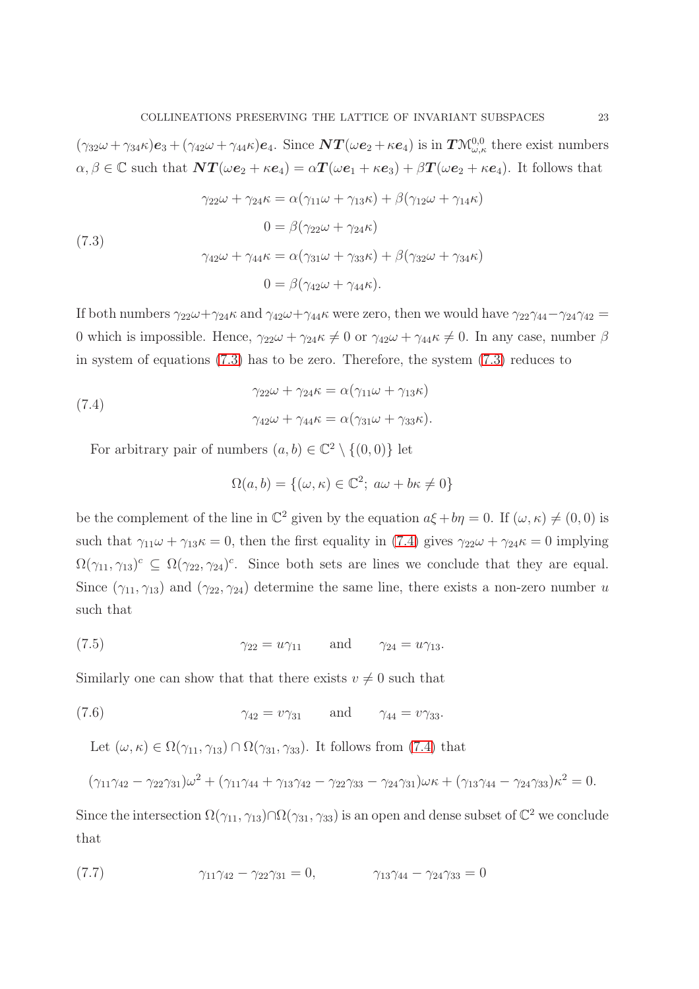$(\gamma_{32}\omega + \gamma_{34}\kappa)\mathbf{e}_3 + (\gamma_{42}\omega + \gamma_{44}\kappa)\mathbf{e}_4$ . Since  $\mathbf{NT}(\omega\mathbf{e}_2 + \kappa\mathbf{e}_4)$  is in  $\mathbf{TN}_{\omega,\kappa}^{0,0}$  there exist numbers  $\alpha, \beta \in \mathbb{C}$  such that  $\mathbf{NT}(\omega \mathbf{e}_2 + \kappa \mathbf{e}_4) = \alpha \mathbf{T}(\omega \mathbf{e}_1 + \kappa \mathbf{e}_3) + \beta \mathbf{T}(\omega \mathbf{e}_2 + \kappa \mathbf{e}_4)$ . It follows that

<span id="page-22-0"></span>(7.3)  
\n
$$
\gamma_{22}\omega + \gamma_{24}\kappa = \alpha(\gamma_{11}\omega + \gamma_{13}\kappa) + \beta(\gamma_{12}\omega + \gamma_{14}\kappa)
$$
\n
$$
0 = \beta(\gamma_{22}\omega + \gamma_{24}\kappa)
$$
\n
$$
\gamma_{42}\omega + \gamma_{44}\kappa = \alpha(\gamma_{31}\omega + \gamma_{33}\kappa) + \beta(\gamma_{32}\omega + \gamma_{34}\kappa)
$$
\n
$$
0 = \beta(\gamma_{42}\omega + \gamma_{44}\kappa).
$$

If both numbers  $\gamma_{22}\omega+\gamma_{24}\kappa$  and  $\gamma_{42}\omega+\gamma_{44}\kappa$  were zero, then we would have  $\gamma_{22}\gamma_{44}-\gamma_{24}\gamma_{42} =$ 0 which is impossible. Hence,  $\gamma_{22}\omega + \gamma_{24}\kappa \neq 0$  or  $\gamma_{42}\omega + \gamma_{44}\kappa \neq 0$ . In any case, number  $\beta$ in system of equations [\(7.3\)](#page-22-0) has to be zero. Therefore, the system [\(7.3\)](#page-22-0) reduces to

<span id="page-22-1"></span>(7.4)  
\n
$$
\gamma_{22}\omega + \gamma_{24}\kappa = \alpha(\gamma_{11}\omega + \gamma_{13}\kappa)
$$
\n
$$
\gamma_{42}\omega + \gamma_{44}\kappa = \alpha(\gamma_{31}\omega + \gamma_{33}\kappa).
$$

For arbitrary pair of numbers  $(a, b) \in \mathbb{C}^2 \setminus \{(0, 0)\}\$ let

<span id="page-22-2"></span>
$$
\Omega(a, b) = \{(\omega, \kappa) \in \mathbb{C}^2; \ a\omega + b\kappa \neq 0\}
$$

be the complement of the line in  $\mathbb{C}^2$  given by the equation  $a\xi + b\eta = 0$ . If  $(\omega, \kappa) \neq (0, 0)$  is such that  $\gamma_{11}\omega + \gamma_{13}\kappa = 0$ , then the first equality in [\(7.4\)](#page-22-1) gives  $\gamma_{22}\omega + \gamma_{24}\kappa = 0$  implying  $\Omega(\gamma_{11}, \gamma_{13})^c \subseteq \Omega(\gamma_{22}, \gamma_{24})^c$ . Since both sets are lines we conclude that they are equal. Since  $(\gamma_{11}, \gamma_{13})$  and  $(\gamma_{22}, \gamma_{24})$  determine the same line, there exists a non-zero number u such that

(7.5) γ<sup>22</sup> = uγ<sup>11</sup> and γ<sup>24</sup> = uγ13.

Similarly one can show that that there exists  $v \neq 0$  such that

(7.6) 
$$
\gamma_{42} = v \gamma_{31} \quad \text{and} \quad \gamma_{44} = v \gamma_{33}.
$$

<span id="page-22-3"></span>Let  $(\omega,\kappa) \in \Omega(\gamma_{11},\gamma_{13}) \cap \Omega(\gamma_{31},\gamma_{33})$ . It follows from [\(7.4\)](#page-22-1) that

$$
(\gamma_{11}\gamma_{42}-\gamma_{22}\gamma_{31})\omega^2+(\gamma_{11}\gamma_{44}+\gamma_{13}\gamma_{42}-\gamma_{22}\gamma_{33}-\gamma_{24}\gamma_{31})\omega\kappa+(\gamma_{13}\gamma_{44}-\gamma_{24}\gamma_{33})\kappa^2=0.
$$

Since the intersection  $\Omega(\gamma_{11}, \gamma_{13}) \cap \Omega(\gamma_{31}, \gamma_{33})$  is an open and dense subset of  $\mathbb{C}^2$  we conclude that

<span id="page-22-4"></span>(7.7) 
$$
\gamma_{11}\gamma_{42} - \gamma_{22}\gamma_{31} = 0, \qquad \gamma_{13}\gamma_{44} - \gamma_{24}\gamma_{33} = 0
$$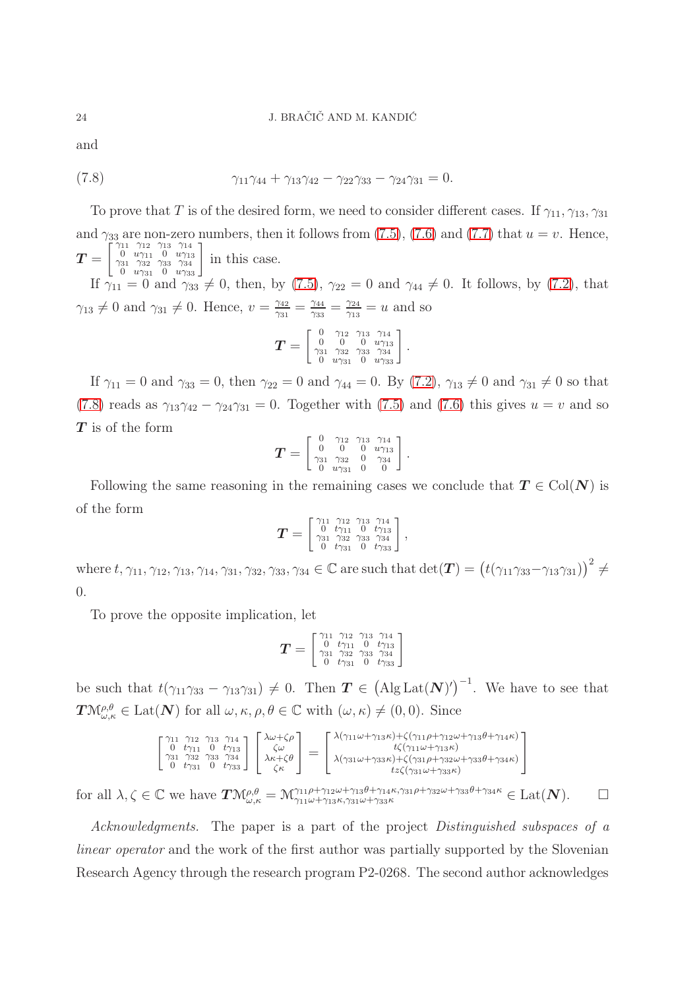#### 24 J. BRAČIČ AND M. KANDIĆ

and

<span id="page-23-0"></span>(7.8) 
$$
\gamma_{11}\gamma_{44} + \gamma_{13}\gamma_{42} - \gamma_{22}\gamma_{33} - \gamma_{24}\gamma_{31} = 0.
$$

To prove that T is of the desired form, we need to consider different cases. If  $\gamma_{11}, \gamma_{13}, \gamma_{31}$ and  $\gamma_{33}$  are non-zero numbers, then it follows from [\(7.5\)](#page-22-2), [\(7.6\)](#page-22-3) and [\(7.7\)](#page-22-4) that  $u = v$ . Hence,  $\boldsymbol{T} =$  $\begin{bmatrix} \gamma_{11} & \gamma_{12} & \gamma_{13} & \gamma_{14} \\ 0 & u\gamma_{11} & 0 & u\gamma_{13} \\ \gamma_{31} & \gamma_{32} & \gamma_{33} & \gamma_{34} \end{bmatrix}$  $\begin{bmatrix} 11 & \gamma_{12} & \gamma_{13} & \gamma_{14} \\ 0 & u\gamma_{11} & 0 & u\gamma_{13} \\ 31 & \gamma_{32} & \gamma_{33} & \gamma_{34} \\ 0 & u\gamma_{31} & 0 & u\gamma_{33} \end{bmatrix}$ in this case.

If  $\gamma_{11} = 0$  and  $\gamma_{33} \neq 0$ , then, by [\(7.5\)](#page-22-2),  $\gamma_{22} = 0$  and  $\gamma_{44} \neq 0$ . It follows, by [\(7.2\)](#page-21-1), that  $\gamma_{13} \neq 0$  and  $\gamma_{31} \neq 0$ . Hence,  $v = \frac{\gamma_{42}}{\gamma_{31}}$  $\frac{\gamma_{42}}{\gamma_{31}} = \frac{\gamma_{44}}{\gamma_{33}}$  $\frac{\gamma_{44}}{\gamma_{33}} = \frac{\gamma_{24}}{\gamma_{13}}$  $\frac{\gamma_{24}}{\gamma_{13}}=u$  and so

$$
T = \left[\begin{smallmatrix} 0 & \gamma_{12} & \gamma_{13} & \gamma_{14} \\ 0 & 0 & 0 & w\gamma_{13} \\ \gamma_{31} & \gamma_{32} & \gamma_{33} & \gamma_{34} \\ 0 & w\gamma_{31} & 0 & w\gamma_{33} \end{smallmatrix}\right].
$$

If  $\gamma_{11} = 0$  and  $\gamma_{33} = 0$ , then  $\gamma_{22} = 0$  and  $\gamma_{44} = 0$ . By [\(7.2\)](#page-21-1),  $\gamma_{13} \neq 0$  and  $\gamma_{31} \neq 0$  so that [\(7.8\)](#page-23-0) reads as  $\gamma_{13}\gamma_{42} - \gamma_{24}\gamma_{31} = 0$ . Together with [\(7.5\)](#page-22-2) and [\(7.6\)](#page-22-3) this gives  $u = v$  and so T is of the form

$$
\bm{T} = \left[ \begin{smallmatrix} 0 & \gamma_{12} & \gamma_{13} & \gamma_{14} \\ 0 & 0 & 0 & u\gamma_{13} \\ \gamma_{31} & \gamma_{32} & 0 & \gamma_{34} \\ 0 & u\gamma_{31} & 0 & 0 \end{smallmatrix} \right].
$$

Following the same reasoning in the remaining cases we conclude that  $T \in Col(N)$  is of the form

$$
T = \left[\begin{smallmatrix} \gamma_{11} & \gamma_{12} & \gamma_{13} & \gamma_{14} \\ 0 & t\gamma_{11} & 0 & t\gamma_{13} \\ \gamma_{31} & \gamma_{32} & \gamma_{33} & \gamma_{34} \\ 0 & t\gamma_{31} & 0 & t\gamma_{33} \end{smallmatrix}\right],
$$

where  $t, \gamma_{11}, \gamma_{12}, \gamma_{13}, \gamma_{14}, \gamma_{31}, \gamma_{32}, \gamma_{33}, \gamma_{34} \in \mathbb{C}$  are such that  $\det(\boldsymbol{T}) = (t(\gamma_{11}\gamma_{33}-\gamma_{13}\gamma_{31}))^2 \neq$ 0.

To prove the opposite implication, let

$$
\bm{T} = \left[ \begin{smallmatrix} \gamma_{11} & \gamma_{12} & \gamma_{13} & \gamma_{14} \\ 0 & t\gamma_{11} & 0 & t\gamma_{13} \\ \gamma_{31} & \gamma_{32} & \gamma_{33} & \gamma_{34} \\ 0 & t\gamma_{31} & 0 & t\gamma_{33} \end{smallmatrix} \right]
$$

be such that  $t(\gamma_{11}\gamma_{33}-\gamma_{13}\gamma_{31})\neq 0$ . Then  $\boldsymbol{T} \in (\text{Alg} \text{Lat}(\boldsymbol{N})')^{-1}$ . We have to see that  $\mathbf{T}\mathcal{M}_{\omega,\kappa}^{\rho,\theta}\in \mathrm{Lat}(\mathbf{N})$  for all  $\omega,\kappa,\rho,\theta\in\mathbb{C}$  with  $(\omega,\kappa)\neq(0,0)$ . Since

$$
\begin{bmatrix}\n\gamma_{11} & \gamma_{12} & \gamma_{13} & \gamma_{14} \\
0 & t\gamma_{11} & 0 & t\gamma_{13} \\
\gamma_{31} & \gamma_{32} & \gamma_{33} & \gamma_{34} \\
0 & t\gamma_{31} & 0 & t\gamma_{33}\n\end{bmatrix}\n\begin{bmatrix}\n\lambda\omega + \zeta\rho \\
\zeta\omega \\
\lambda\kappa + \zeta\theta \\
\zeta\kappa\n\end{bmatrix} = \begin{bmatrix}\n\lambda(\gamma_{11}\omega + \gamma_{13}\kappa) + \zeta(\gamma_{11}\rho + \gamma_{12}\omega + \gamma_{13}\theta + \gamma_{14}\kappa) \\
t\zeta(\gamma_{11}\omega + \gamma_{13}\kappa) \\
\lambda(\gamma_{31}\omega + \gamma_{33}\kappa) + \zeta(\gamma_{31}\rho + \gamma_{32}\omega + \gamma_{33}\theta + \gamma_{34}\kappa) \\
t z\zeta(\gamma_{31}\omega + \gamma_{33}\kappa)\n\end{bmatrix}
$$

for all  $\lambda, \zeta \in \mathbb{C}$  we have  $T\mathcal{M}_{\omega,\kappa}^{\rho,\theta} = \mathcal{M}_{\gamma_{11}\omega+\gamma_{13}\kappa,\gamma_{31}\omega+\gamma_{33}\kappa}^{\gamma_{11}\rho+\gamma_{12}\omega+\gamma_{13}\theta+\gamma_{14}\kappa,\gamma_{31}\rho+\gamma_{32}\omega+\gamma_{33}\theta+\gamma_{34}\kappa} \in \text{Lat}(\mathbf{N}).$   $\Box$ 

Acknowledgments. The paper is a part of the project Distinguished subspaces of a linear operator and the work of the first author was partially supported by the Slovenian Research Agency through the research program P2-0268. The second author acknowledges